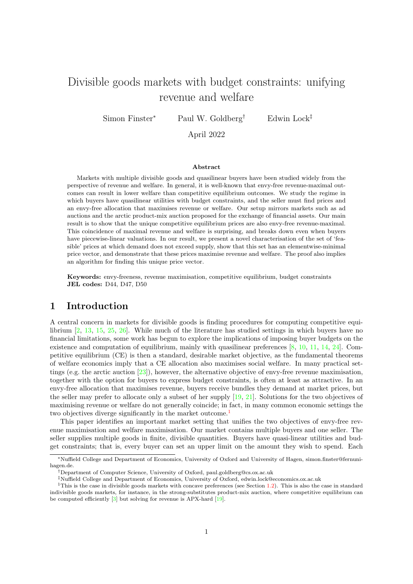# Divisible goods markets with budget constraints: unifying revenue and welfare

Simon Finster<sup>∗</sup> Paul W. Goldberg<sup>†</sup> Edwin Lock<sup>‡</sup>

April 2022

#### Abstract

Markets with multiple divisible goods and quasilinear buyers have been studied widely from the perspective of revenue and welfare. In general, it is well-known that envy-free revenue-maximal outcomes can result in lower welfare than competitive equilibrium outcomes. We study the regime in which buyers have quasilinear utilities with budget constraints, and the seller must find prices and an envy-free allocation that maximises revenue or welfare. Our setup mirrors markets such as ad auctions and the arctic product-mix auction proposed for the exchange of financial assets. Our main result is to show that the unique competitive equilibrium prices are also envy-free revenue-maximal. This coincidence of maximal revenue and welfare is surprising, and breaks down even when buyers have piecewise-linear valuations. In our result, we present a novel characterisation of the set of 'feasible' prices at which demand does not exceed supply, show that this set has an elementwise-minimal price vector, and demonstrate that these prices maximise revenue and welfare. The proof also implies an algorithm for finding this unique price vector.

Keywords: envy-freeness, revenue maximisation, competitive equilibrium, budget constraints JEL codes: D44, D47, D50

### 1 Introduction

A central concern in markets for divisible goods is finding procedures for computing competitive equilibrium [\[2,](#page-15-0) [13,](#page-16-0) [15,](#page-16-1) [25,](#page-16-2) [26\]](#page-16-3). While much of the literature has studied settings in which buyers have no financial limitations, some work has begun to explore the implications of imposing buyer budgets on the existence and computation of equilibrium, mainly with quasilinear preferences  $[8, 10, 11, 14, 24]$  $[8, 10, 11, 14, 24]$  $[8, 10, 11, 14, 24]$  $[8, 10, 11, 14, 24]$  $[8, 10, 11, 14, 24]$  $[8, 10, 11, 14, 24]$  $[8, 10, 11, 14, 24]$  $[8, 10, 11, 14, 24]$  $[8, 10, 11, 14, 24]$ . Competitive equilibrium (CE) is then a standard, desirable market objective, as the fundamental theorems of welfare economics imply that a CE allocation also maximises social welfare. In many practical settings (e.g. the arctic auction [\[23\]](#page-16-8)), however, the alternative objective of envy-free revenue maximisation, together with the option for buyers to express budget constraints, is often at least as attractive. In an envy-free allocation that maximises revenue, buyers receive bundles they demand at market prices, but the seller may prefer to allocate only a subset of her supply [\[19,](#page-16-9) [21\]](#page-16-10). Solutions for the two objectives of maximising revenue or welfare do not generally coincide; in fact, in many common economic settings the two objectives diverge significantly in the market outcome.<sup>[1](#page-0-0)</sup>

This paper identifies an important market setting that unifies the two objectives of envy-free revenue maximisation and welfare maximisation. Our market contains multiple buyers and one seller. The seller supplies multiple goods in finite, divisible quantities. Buyers have quasi-linear utilities and budget constraints; that is, every buyer can set an upper limit on the amount they wish to spend. Each

<sup>∗</sup>Nuffield College and Department of Economics, University of Oxford and University of Hagen, simon.finster@fernunihagen.de.

<sup>†</sup>Department of Computer Science, University of Oxford, paul.goldberg@cs.ox.ac.uk

<span id="page-0-0"></span><sup>‡</sup>Nuffield College and Department of Economics, University of Oxford, edwin.lock@economics.ox.ac.uk

<sup>&</sup>lt;sup>1</sup>This is the case in divisible goods markets with concave preferences (see Section [1.2\)](#page-3-0). This is also the case in standard indivisible goods markets, for instance, in the strong-substitutes product-mix auction, where competitive equilibrium can be computed efficiently [\[3\]](#page-15-2) but solving for revenue is APX-hard [\[19\]](#page-16-9).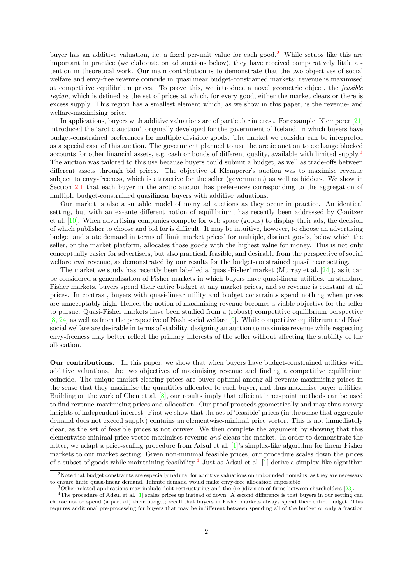buyer has an additive valuation, i.e. a fixed per-unit value for each good.[2](#page-1-0) While setups like this are important in practice (we elaborate on ad auctions below), they have received comparatively little attention in theoretical work. Our main contribution is to demonstrate that the two objectives of social welfare and envy-free revenue coincide in quasilinear budget-constrained markets: revenue is maximised at competitive equilibrium prices. To prove this, we introduce a novel geometric object, the feasible region, which is defined as the set of prices at which, for every good, either the market clears or there is excess supply. This region has a smallest element which, as we show in this paper, is the revenue- and welfare-maximising price.

In applications, buyers with additive valuations are of particular interest. For example, Klemperer [\[21\]](#page-16-10) introduced the 'arctic auction', originally developed for the government of Iceland, in which buyers have budget-constrained preferences for multiple divisible goods. The market we consider can be interpreted as a special case of this auction. The government planned to use the arctic auction to exchange blocked accounts for other financial assets, e.g. cash or bonds of different quality, available with limited supply.[3](#page-1-1) The auction was tailored to this use because buyers could submit a budget, as well as trade-offs between different assets through bid prices. The objective of Klemperer's auction was to maximise revenue subject to envy-freeness, which is attractive for the seller (government) as well as bidders. We show in Section [2.1](#page-7-0) that each buyer in the arctic auction has preferences corresponding to the aggregation of multiple budget-constrained quasilinear buyers with additive valuations.

Our market is also a suitable model of many ad auctions as they occur in practice. An identical setting, but with an ex-ante different notion of equilibrium, has recently been addressed by Conitzer et al. [\[10\]](#page-16-4). When advertising companies compete for web space (goods) to display their ads, the decision of which publisher to choose and bid for is difficult. It may be intuitive, however, to choose an advertising budget and state demand in terms of 'limit market prices' for multiple, distinct goods, below which the seller, or the market platform, allocates those goods with the highest value for money. This is not only conceptually easier for advertisers, but also practical, feasible, and desirable from the perspective of social welfare and revenue, as demonstrated by our results for the budget-constrained quasilinear setting.

The market we study has recently been labelled a 'quasi-Fisher' market (Murray et al. [\[24\]](#page-16-7)), as it can be considered a generalisation of Fisher markets in which buyers have quasi-linear utilities. In standard Fisher markets, buyers spend their entire budget at any market prices, and so revenue is constant at all prices. In contrast, buyers with quasi-linear utility and budget constraints spend nothing when prices are unacceptably high. Hence, the notion of maximising revenue becomes a viable objective for the seller to pursue. Quasi-Fisher markets have been studied from a (robust) competitive equilibrium perspective [\[8,](#page-15-1) [24\]](#page-16-7) as well as from the perspective of Nash social welfare [\[9\]](#page-15-3). While competitive equilibrium and Nash social welfare are desirable in terms of stability, designing an auction to maximise revenue while respecting envy-freeness may better reflect the primary interests of the seller without affecting the stability of the allocation.

Our contributions. In this paper, we show that when buyers have budget-constrained utilities with additive valuations, the two objectives of maximising revenue and finding a competitive equilibrium coincide. The unique market-clearing prices are buyer-optimal among all revenue-maximising prices in the sense that they maximise the quantities allocated to each buyer, and thus maximise buyer utilities. Building on the work of Chen et al.  $[8]$ , our results imply that efficient inner-point methods can be used to find revenue-maximising prices and allocation. Our proof proceeds geometrically and may thus convey insights of independent interest. First we show that the set of 'feasible' prices (in the sense that aggregate demand does not exceed supply) contains an elementwise-minimal price vector. This is not immediately clear, as the set of feasible prices is not convex. We then complete the argument by showing that this elementwise-minimal price vector maximises revenue and clears the market. In order to demonstrate the latter, we adapt a price-scaling procedure from Adsul et al. [\[1\]](#page-15-4)'s simplex-like algorithm for linear Fisher markets to our market setting. Given non-minimal feasible prices, our procedure scales down the prices of a subset of goods while maintaining feasibility.[4](#page-1-2) Just as Adsul et al. [\[1\]](#page-15-4) derive a simplex-like algorithm

<span id="page-1-0"></span><sup>&</sup>lt;sup>2</sup>Note that budget constraints are especially natural for additive valuations on unbounded domains, as they are necessary to ensure finite quasi-linear demand. Infinite demand would make envy-free allocation impossible.

<span id="page-1-2"></span><span id="page-1-1"></span><sup>3</sup>Other related applications may include debt restructuring and the (re-)division of firms between shareholders [\[23\]](#page-16-8).

<sup>4</sup>The procedure of Adsul et al. [\[1\]](#page-15-4) scales prices up instead of down. A second difference is that buyers in our setting can choose not to spend (a part of) their budget; recall that buyers in Fisher markets always spend their entire budget. This requires additional pre-processing for buyers that may be indifferent between spending all of the budget or only a fraction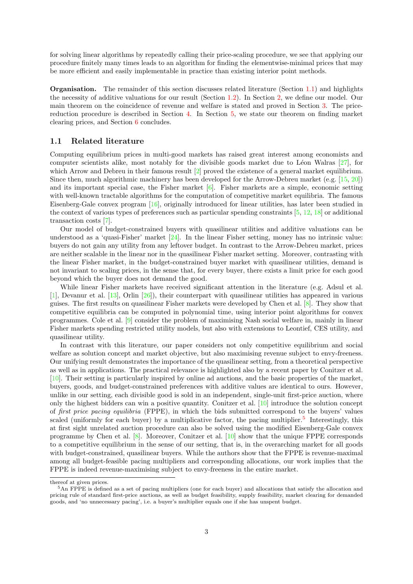for solving linear algorithms by repeatedly calling their price-scaling procedure, we see that applying our procedure finitely many times leads to an algorithm for finding the elementwise-minimal prices that may be more efficient and easily implementable in practice than existing interior point methods.

Organisation. The remainder of this section discusses related literature (Section [1.1\)](#page-2-0) and highlights the necessity of additive valuations for our result (Section [1.2\)](#page-3-0). In Section [2,](#page-4-0) we define our model. Our main theorem on the coincidence of revenue and welfare is stated and proved in Section [3.](#page-7-1) The pricereduction procedure is described in Section [4.](#page-10-0) In Section [5,](#page-14-0) we state our theorem on finding market clearing prices, and Section [6](#page-15-5) concludes.

#### <span id="page-2-0"></span>1.1 Related literature

Computing equilibrium prices in multi-good markets has raised great interest among economists and computer scientists alike, most notably for the divisible goods market due to Léon Walras  $[27]$ , for which Arrow and Debreu in their famous result [\[2\]](#page-15-0) proved the existence of a general market equilibrium. Since then, much algorithmic machinery has been developed for the Arrow-Debreu market (e.g. [\[15,](#page-16-1) [20\]](#page-16-12)) and its important special case, the Fisher market  $[6]$ . Fisher markets are a simple, economic setting with well-known tractable algorithms for the computation of competitive market equilibria. The famous Eisenberg-Gale convex program [\[16\]](#page-16-13), originally introduced for linear utilities, has later been studied in the context of various types of preferences such as particular spending constraints  $[5, 12, 18]$  $[5, 12, 18]$  $[5, 12, 18]$  $[5, 12, 18]$  $[5, 12, 18]$  or additional transaction costs [\[7\]](#page-15-8).

Our model of budget-constrained buyers with quasilinear utilities and additive valuations can be understood as a 'quasi-Fisher' market [\[24\]](#page-16-7). In the linear Fisher setting, money has no intrinsic value: buyers do not gain any utility from any leftover budget. In contrast to the Arrow-Debreu market, prices are neither scalable in the linear nor in the quasilinear Fisher market setting. Moreover, contrasting with the linear Fisher market, in the budget-constrained buyer market with quasilinear utilities, demand is not invariant to scaling prices, in the sense that, for every buyer, there exists a limit price for each good beyond which the buyer does not demand the good.

While linear Fisher markets have received significant attention in the literature (e.g. Adsul et al. [\[1\]](#page-15-4), Devanur et al. [\[13\]](#page-16-0), Orlin [\[26\]](#page-16-3)), their counterpart with quasilinear utilities has appeared in various guises. The first results on quasilinear Fisher markets were developed by Chen et al. [\[8\]](#page-15-1). They show that competitive equilibria can be computed in polynomial time, using interior point algorithms for convex programmes. Cole et al. [\[9\]](#page-15-3) consider the problem of maximising Nash social welfare in, mainly in linear Fisher markets spending restricted utility models, but also with extensions to Leontief, CES utility, and quasilinear utility.

In contrast with this literature, our paper considers not only competitive equilibrium and social welfare as solution concept and market objective, but also maximising revenue subject to envy-freeness. Our unifying result demonstrates the importance of the quasilinear setting, from a theoretical perspective as well as in applications. The practical relevance is highlighted also by a recent paper by Conitzer et al. [\[10\]](#page-16-4). Their setting is particularly inspired by online ad auctions, and the basic properties of the market, buyers, goods, and budget-constrained preferences with additive values are identical to ours. However, unlike in our setting, each divisible good is sold in an independent, single-unit first-price auction, where only the highest bidders can win a positive quantity. Conitzer et al. [\[10\]](#page-16-4) introduce the solution concept of first price pacing equilibria (FPPE), in which the bids submitted correspond to the buyers' values scaled (uniformly for each buyer) by a multiplicative factor, the pacing multiplier.<sup>[5](#page-2-1)</sup> Interestingly, this at first sight unrelated auction procedure can also be solved using the modified Eisenberg-Gale convex programme by Chen et al. [\[8\]](#page-15-1). Moreover, Conitzer et al. [\[10\]](#page-16-4) show that the unique FPPE corresponds to a competitive equilibrium in the sense of our setting, that is, in the overarching market for all goods with budget-constrained, quasilinear buyers. While the authors show that the FPPE is revenue-maximal among all budget-feasible pacing multipliers and corresponding allocations, our work implies that the FPPE is indeed revenue-maximising subject to envy-freeness in the entire market.

thereof at given prices.

<span id="page-2-1"></span><sup>5</sup>An FPPE is defined as a set of pacing multipliers (one for each buyer) and allocations that satisfy the allocation and pricing rule of standard first-price auctions, as well as budget feasibility, supply feasibility, market clearing for demanded goods, and 'no unnecessary pacing', i.e. a buyer's multiplier equals one if she has unspent budget.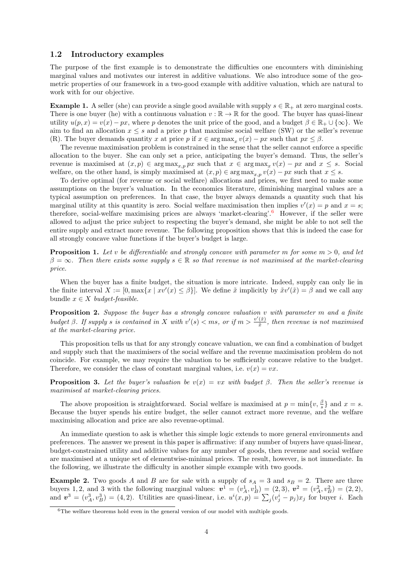#### <span id="page-3-0"></span>1.2 Introductory examples

The purpose of the first example is to demonstrate the difficulties one encounters with diminishing marginal values and motivates our interest in additive valuations. We also introduce some of the geometric properties of our framework in a two-good example with additive valuation, which are natural to work with for our objective.

**Example 1.** A seller (she) can provide a single good available with supply  $s \in \mathbb{R}_+$  at zero marginal costs. There is one buyer (he) with a continuous valuation  $v : \mathbb{R} \to \mathbb{R}$  for the good. The buyer has quasi-linear utility  $u(p, x) = v(x) - px$ , where p denotes the unit price of the good, and a budget  $\beta \in \mathbb{R}_+ \cup \{\infty\}$ . We aim to find an allocation  $x \leq s$  and a price p that maximise social welfare (SW) or the seller's revenue (R). The buyer demands quantity x at price p if  $x \in \arg \max_x v(x) - px$  such that  $px \le \beta$ .

The revenue maximisation problem is constrained in the sense that the seller cannot enforce a specific allocation to the buyer. She can only set a price, anticipating the buyer's demand. Thus, the seller's revenue is maximised at  $(x, p) \in \arg \max_{x, p} px$  such that  $x \in \arg \max_{x} v(x) - px$  and  $x \leq s$ . Social welfare, on the other hand, is simply maximised at  $(x, p) \in \arg \max_{x, p} v(x) - px$  such that  $x \leq s$ .

To derive optimal (for revenue or social welfare) allocations and prices, we first need to make some assumptions on the buyer's valuation. In the economics literature, diminishing marginal values are a typical assumption on preferences. In that case, the buyer always demands a quantity such that his marginal utility at this quantity is zero. Social welfare maximisation then implies  $v'(x) = p$  and  $x = s$ ; therefore, social-welfare maximising prices are always 'market-clearing'.[6](#page-3-1) However, if the seller were allowed to adjust the price subject to respecting the buyer's demand, she might be able to not sell the entire supply and extract more revenue. The following proposition shows that this is indeed the case for all strongly concave value functions if the buyer's budget is large.

<span id="page-3-2"></span>**Proposition 1.** Let v be differentiable and strongly concave with parameter m for some  $m > 0$ , and let  $\beta = \infty$ . Then there exists some supply  $s \in \mathbb{R}$  so that revenue is not maximised at the market-clearing price.

When the buyer has a finite budget, the situation is more intricate. Indeed, supply can only lie in the finite interval  $X := [0, \max\{x \mid xv'(x) \leq \beta\}]$ . We define  $\tilde{x}$  implicitly by  $\tilde{x}v'(\tilde{x}) = \beta$  and we call any bundle  $x \in X$  budget-feasible.

<span id="page-3-3"></span>**Proposition 2.** Suppose the buyer has a strongly concave valuation  $v$  with parameter  $m$  and a finite budget  $\beta$ . If supply s is contained in X with  $v'(s) < ms$ , or if  $m > \frac{v'(\tilde{x})}{\tilde{x}}$  $\frac{f(x)}{\tilde{x}}$ , then revenue is not maximised at the market-clearing price.

This proposition tells us that for any strongly concave valuation, we can find a combination of budget and supply such that the maximisers of the social welfare and the revenue maximisation problem do not coincide. For example, we may require the valuation to be sufficiently concave relative to the budget. Therefore, we consider the class of constant marginal values, i.e.  $v(x) = vx$ .

**Proposition 3.** Let the buyer's valuation be  $v(x) = vx$  with budget  $\beta$ . Then the seller's revenue is maximised at market-clearing prices.

The above proposition is straightforward. Social welfare is maximised at  $p = \min\{v, \frac{\beta}{s}\}\$  and  $x = s$ . Because the buyer spends his entire budget, the seller cannot extract more revenue, and the welfare maximising allocation and price are also revenue-optimal.

An immediate question to ask is whether this simple logic extends to more general environments and preferences. The answer we present in this paper is affirmative: if any number of buyers have quasi-linear, budget-constrained utility and additive values for any number of goods, then revenue and social welfare are maximised at a unique set of elementwise-minimal prices. The result, however, is not immediate. In the following, we illustrate the difficulty in another simple example with two goods.

**Example 2.** Two goods A and B are for sale with a supply of  $s_A = 3$  and  $s_B = 2$ . There are three buyers 1, 2, and 3 with the following marginal values:  $v^1 = (v_A^1, v_B^1) = (2, 3), v^2 = (v_A^2, v_B^2) = (2, 2),$ and  $v^3 = (v_A^3, v_B^3) = (4, 2)$ . Utilities are quasi-linear, i.e.  $u^i(x, p) = \sum_j (v_j^i - p_j)x_j$  for buyer i. Each

<span id="page-3-1"></span> $6$ The welfare theorems hold even in the general version of our model with multiple goods.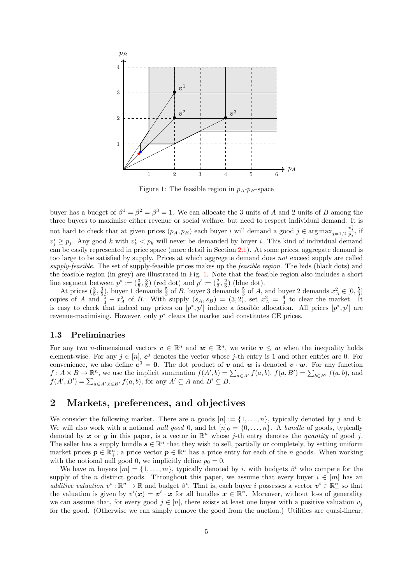<span id="page-4-1"></span>

Figure 1: The feasible region in  $p_A$ - $p_B$ -space

buyer has a budget of  $\beta^1 = \beta^2 = \beta^3 = 1$ . We can allocate the 3 units of A and 2 units of B among the three buyers to maximise either revenue or social welfare, but need to respect individual demand. It is not hard to check that at given prices  $(p_A, p_B)$  each buyer i will demand a good  $j \in \arg \max_{j=1,2} \frac{v_j^i}{p_j}$ , if  $v_j^i \geq p_j$ . Any good k with  $v_k^i < p_k$  will never be demanded by buyer i. This kind of individual demand can be easily represented in price space (more detail in Section [2.1\)](#page-7-0). At some prices, aggregate demand is too large to be satisfied by supply. Prices at which aggregate demand does not exceed supply are called supply-feasible. The set of supply-feasible prices makes up the *feasible region*. The bids (black dots) and the feasible region (in grey) are illustrated in Fig. [1.](#page-4-1) Note that the feasible region also includes a short line segment between  $p^* := (\frac{3}{5}, \frac{3}{5})$  (red dot) and  $p' := (\frac{2}{3}, \frac{2}{3})$  (blue dot).

At prices  $(\frac{3}{5}, \frac{3}{5})$ , buyer 1 demands  $\frac{5}{3}$  of B, buyer 3 demands  $\frac{5}{3}$  of A, and buyer 2 demands  $x_A^2 \in [0, \frac{5}{3}]$ copies of A and  $\frac{5}{3} - x_A^2$  of B. With supply  $(s_A, s_B) = (3, 2)$ , set  $x_A^2 = \frac{4}{3}$  to clear the market. It is easy to check that indeed any prices on  $[p^*, p']$  induce a feasible allocation. All prices  $[p^*, p']$  are revenue-maximising. However, only  $p^*$  clears the market and constitutes CE prices.

#### 1.3 Preliminaries

For any two *n*-dimensional vectors  $v \in \mathbb{R}^n$  and  $w \in \mathbb{R}^n$ , we write  $v \leq w$  when the inequality holds element-wise. For any  $j \in [n]$ ,  $e^j$  denotes the vector whose j-th entry is 1 and other entries are 0. For convenience, we also define  $e^0 = 0$ . The dot product of v and w is denoted  $v \cdot w$ . For any function  $f: A \times B \to \mathbb{R}^n$ , we use the implicit summation  $f(A', b) = \sum_{a \in A'} f(a, b)$ ,  $f(a, B') = \sum_{b \in B'} f(a, b)$ , and  $f(A', B') = \sum_{a \in A', b \in B'} f(a, b)$ , for any  $A' \subseteq A$  and  $B' \subseteq B$ .

### <span id="page-4-0"></span>2 Markets, preferences, and objectives

We consider the following market. There are n goods  $[n] := \{1, \ldots, n\}$ , typically denoted by j and k. We will also work with a notional *null good* 0, and let  $[n]_0 = \{0, \ldots, n\}$ . A bundle of goods, typically denoted by x or y in this paper, is a vector in  $\mathbb{R}^n$  whose j-th entry denotes the quantity of good j. The seller has a supply bundle  $s \in \mathbb{R}^n$  that they wish to sell, partially or completely, by setting uniform market prices  $p \in \mathbb{R}^n$ ; a price vector  $p \in \mathbb{R}^n$  has a price entry for each of the n goods. When working with the notional null good 0, we implicitly define  $p_0 = 0$ .

We have m buyers  $[m] = \{1, \ldots, m\}$ , typically denoted by i, with budgets  $\beta^i$  who compete for the supply of the *n* distinct goods. Throughout this paper, we assume that every buyer  $i \in [m]$  has an additive valuation  $v^i : \mathbb{R}^n \to \mathbb{R}$  and budget  $\beta^i$ . That is, each buyer i possesses a vector  $v^i \in \mathbb{R}^n_+$  so that the valuation is given by  $v^i(x) = v^i \cdot x$  for all bundles  $x \in \mathbb{R}^n$ . Moreover, without loss of generality we can assume that, for every good  $j \in [n]$ , there exists at least one buyer with a positive valuation  $v_j$ for the good. (Otherwise we can simply remove the good from the auction.) Utilities are quasi-linear,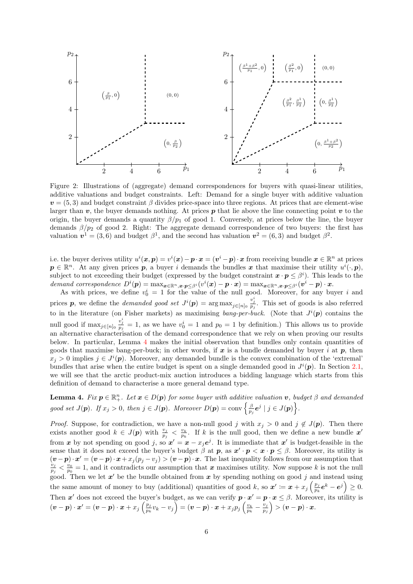

Figure 2: Illustrations of (aggregate) demand correspondences for buyers with quasi-linear utilities, additive valuations and budget constraints. Left: Demand for a single buyer with additive valuation  $v = (5, 3)$  and budget constraint  $\beta$  divides price-space into three regions. At prices that are element-wise larger than  $v$ , the buyer demands nothing. At prices  $p$  that lie above the line connecting point  $v$  to the origin, the buyer demands a quantity  $\beta/p_1$  of good 1. Conversely, at prices below the line, the buyer demands  $\beta/p_2$  of good 2. Right: The aggregate demand correspondence of two buyers: the first has valuation  $v^1 = (3,6)$  and budget  $\beta^1$ , and the second has valuation  $v^2 = (6,3)$  and budget  $\beta^2$ .

i.e. the buyer derives utility  $u^i(x,p) = v^i(x) - p \cdot x = (v^i - p) \cdot x$  from receiving bundle  $x \in \mathbb{R}^n$  at prices  $p \in \mathbb{R}^n$ . At any given prices p, a buyer i demands the bundles x that maximise their utility  $u^i(\cdot, p)$ , subject to not exceeding their budget (expressed by the budget constraint  $\bm{x} \cdot \bm{p} \leq \beta^i$ ). This leads to the demand correspondence  $D^{i}(\mathbf{p}) = \max_{\mathbf{x} \in \mathbb{R}^n, \mathbf{x} \cdot \mathbf{p} \leq \beta^{i}} (v^{i}(\mathbf{x}) - \mathbf{p} \cdot \mathbf{x}) = \max_{\mathbf{x} \in \mathbb{R}^n, \mathbf{x} \cdot \mathbf{p} \leq \beta^{i}} (v^{i} - \mathbf{p}) \cdot \mathbf{x}$ .

As with prices, we define  $v_0^i = 1$  for the value of the null good. Moreover, for any buyer i and prices p, we define the *demanded good set*  $J^{i}(p) = \arg \max_{j \in [n]_0} \frac{v_j^i}{p_j}$ . This set of goods is also referred to in the literature (on Fisher markets) as maximising bang-per-buck. (Note that  $J^{i}(p)$  contains the null good if  $\max_{j\in[n]_0}\frac{v_j^i}{p_j}=1$ , as we have  $v_0^i=1$  and  $p_0=1$  by definition.) This allows us to provide an alternative characterisation of the demand correspondence that we rely on when proving our results below. In particular, Lemma [4](#page-5-0) makes the initial observation that bundles only contain quantities of goods that maximise bang-per-buck; in other words, if  $x$  is a bundle demanded by buyer i at  $p$ , then  $x_j > 0$  implies  $j \in J^i(p)$ . Moreover, any demanded bundle is the convex combination of the 'extremal' bundles that arise when the entire budget is spent on a single demanded good in  $J^{i}(p)$ . In Section [2.1,](#page-7-0) we will see that the arctic product-mix auction introduces a bidding language which starts from this definition of demand to characterise a more general demand type.

<span id="page-5-0"></span>**Lemma 4.** Fix  $p \in \mathbb{R}^n_+$ . Let  $x \in D(p)$  for some buyer with additive valuation v, budget  $\beta$  and demanded good set  $J(p)$ . If  $x_j > 0$ , then  $j \in J(p)$ . Moreover  $D(p) = \text{conv} \left\{ \frac{\beta}{p_j} e^j \mid j \in J(p) \right\}$ .

*Proof.* Suppose, for contradiction, we have a non-null good j with  $x_j > 0$  and  $j \notin J(\mathbf{p})$ . Then there exists another good  $k \in J(p)$  with  $\frac{v_j}{p_j} < \frac{v_k}{p_k}$ . If k is the null good, then we define a new bundle x' from x by not spending on good j, so  $x' = x - x_j e^j$ . It is immediate that x' is budget-feasible in the sense that it does not exceed the buyer's budget  $\beta$  at  $p$ , as  $x' \cdot p \leq x \cdot p \leq \beta$ . Moreover, its utility is  $(v-p) \cdot x' = (v-p) \cdot x + x_j (p_j - v_j) > (v-p) \cdot x$ . The last inequality follows from our assumption that  $v_j > v_0 = 1$  and it contradicts our assumption that  $x$  maximises utility. Now suppose k is not the pull  $\frac{v_j}{p_j} < \frac{v_0}{p_0} = 1$ , and it contradicts our assumption that x maximises utility. Now suppose k is not the null good. Then we let  $x'$  be the bundle obtained from x by spending nothing on good j and instead using the same amount of money to buy (additional) quantities of good k, so  $x' \coloneqq x + x_j \left( \frac{p_j}{p_k} \right)$  $\frac{p_j}{p_k} \boldsymbol e^k - \boldsymbol e^j \Big) \geq 0.$ Then  $x'$  does not exceed the buyer's budget, as we can verify  $p \cdot x' = p \cdot x \le \beta$ . Moreover, its utility is  $(\boldsymbol{v}-\boldsymbol{p})\cdot\boldsymbol{x}'=(\boldsymbol{v}-\boldsymbol{p})\cdot\boldsymbol{x}+x_j\left(\frac{p_j}{p_j}\right)$  $\left(\frac{p_j}{p_k}v_k-v_j\right)=({\bm{v}}-{\bm{p}})\cdot{\bm{x}}+x_jp_j\left(\frac{v_k}{p_k}-\frac{v_j}{p_j}\right)$  $\left(\frac{v_j}{p_j}\right) > (\boldsymbol{v}-\boldsymbol{p})\cdot \boldsymbol{x}.$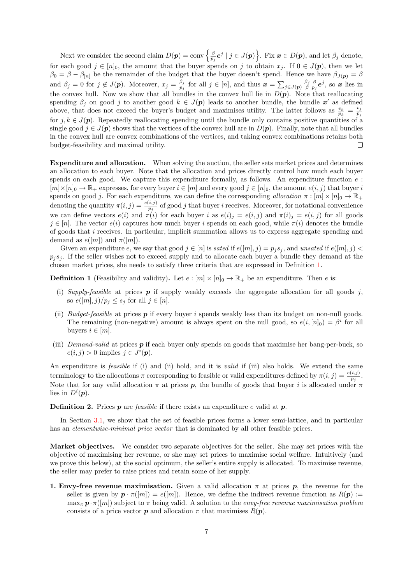Next we consider the second claim  $D(p) = \text{conv}\left\{\frac{\beta}{p_j}e^j \mid j \in J(p)\right\}$ . Fix  $x \in D(p)$ , and let  $\beta_j$  denote, for each good  $j \in [n]_0$ , the amount that the buyer spends on j to obtain  $x_j$ . If  $0 \in J(\mathbf{p})$ , then we let  $\beta_0 = \beta - \beta_{[n]}$  be the remainder of the budget that the buyer doesn't spend. Hence we have  $\beta_{J(p)} = \beta$ and  $\beta_j = 0$  for  $j \notin J(\mathbf{p})$ . Moreover,  $x_j = \frac{\beta_j}{p_j}$  $\frac{\beta_j}{p_j}$  for all  $j \in [n]$ , and thus  $\boldsymbol{x} = \sum_{j \in J(\boldsymbol{p})} \frac{\beta_j}{\beta} \frac{\beta}{p_j} \boldsymbol{e}^j$ , so  $\boldsymbol{x}$  lies in the convex hull. Now we show that all bundles in the convex hull lie in  $D(p)$ . Note that reallocating spending  $\beta_j$  on good j to another good  $k \in J(p)$  leads to another bundle, the bundle  $x'$  as defined above, that does not exceed the buyer's budget and maximises utility. The latter follows as  $\frac{v_k}{p_k} = \frac{v_j}{p_j}$  $p_j$ for  $j, k \in J(\mathbf{p})$ . Repeatedly reallocating spending until the bundle only contains positive quantities of a single good  $j \in J(\mathbf{p})$  shows that the vertices of the convex hull are in  $D(\mathbf{p})$ . Finally, note that all bundles in the convex hull are convex combinations of the vertices, and taking convex combinations retains both budget-feasibility and maximal utility.  $\Box$ 

Expenditure and allocation. When solving the auction, the seller sets market prices and determines an allocation to each buyer. Note that the allocation and prices directly control how much each buyer spends on each good. We capture this expenditure formally, as follows. An expenditure function  $e$ :  $[m] \times [n]_0 \to \mathbb{R}_+$  expresses, for every buyer  $i \in [m]$  and every good  $j \in [n]_0$ , the amount  $e(i, j)$  that buyer i spends on good j. For each expenditure, we can define the corresponding allocation  $\pi : [m] \times [n]_0 \to \mathbb{R}_+$ denoting the quantity  $\pi(i, j) = \frac{e(i, j)}{p_j}$  of good j that buyer i receives. Moreover, for notational convenience we can define vectors  $e(i)$  and  $\pi(i)$  for each buyer i as  $e(i)_j = e(i,j)$  and  $\pi(i)_j = e(i,j)$  for all goods  $j \in [n]$ . The vector  $e(i)$  captures how much buyer i spends on each good, while  $\pi(i)$  denotes the bundle of goods that i receives. In particular, implicit summation allows us to express aggregate spending and demand as  $e([m])$  and  $\pi([m])$ .

Given an expenditure e, we say that good  $j \in [n]$  is sated if  $e([m], j) = p_i s_j$ , and unsated if  $e([m], j)$  $p_j s_j$ . If the seller wishes not to exceed supply and to allocate each buyer a bundle they demand at the chosen market prices, she needs to satisfy three criteria that are expressed in Definition [1.](#page-6-0)

<span id="page-6-0"></span>**Definition 1** (Feasibility and validity). Let  $e : [m] \times [n]_0 \rightarrow \mathbb{R}_+$  be an expenditure. Then e is:

- (i) Supply-feasible at prices  $p$  if supply weakly exceeds the aggregate allocation for all goods j, so  $e([m], j)/p_j \leq s_j$  for all  $j \in [n]$ .
- (ii) Budget-feasible at prices  $p$  if every buyer i spends weakly less than its budget on non-null goods. The remaining (non-negative) amount is always spent on the null good, so  $e(i,[n]_0) = \beta^i$  for all buyers  $i \in [m]$ .
- (iii) Demand-valid at prices  $p$  if each buyer only spends on goods that maximise her bang-per-buck, so  $e(i, j) > 0$  implies  $j \in J^{i}(\boldsymbol{p}).$

An expenditure is *feasible* if (i) and (ii) hold, and it is *valid* if (iii) also holds. We extend the same terminology to the allocations  $\pi$  corresponding to feasible or valid expenditures defined by  $\pi(i, j) = \frac{e(i,j)}{p_j}$ . Note that for any valid allocation  $\pi$  at prices p, the bundle of goods that buyer i is allocated under  $\pi$ lies in  $D^i(p)$ .

**Definition 2.** Prices **p** are *feasible* if there exists an expenditure e valid at **p**.

In Section [3.1,](#page-8-0) we show that the set of feasible prices forms a lower semi-lattice, and in particular has an *elementwise-minimal price vector* that is dominated by all other feasible prices.

Market objectives. We consider two separate objectives for the seller. She may set prices with the objective of maximising her revenue, or she may set prices to maximise social welfare. Intuitively (and we prove this below), at the social optimum, the seller's entire supply is allocated. To maximise revenue, the seller may prefer to raise prices and retain some of her supply.

1. Envy-free revenue maximisation. Given a valid allocation  $\pi$  at prices p, the revenue for the seller is given by  $p \cdot \pi([m]) = e([m])$ . Hence, we define the indirect revenue function as  $R(p) :=$  $\max_{\pi} \mathbf{p} \cdot \pi([m])$  subject to  $\pi$  being valid. A solution to the envy-free revenue maximisation problem consists of a price vector **p** and allocation  $\pi$  that maximises  $R(\mathbf{p})$ .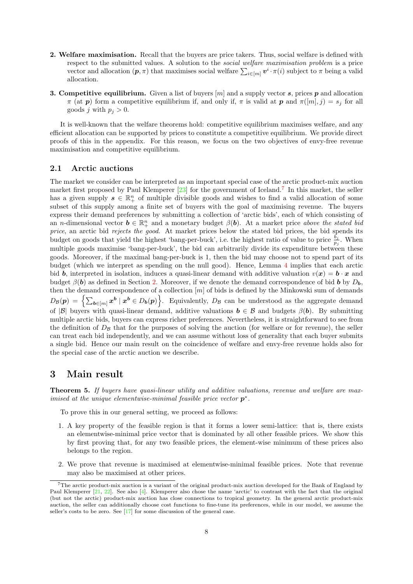- 2. Welfare maximisation. Recall that the buyers are price takers. Thus, social welfare is defined with respect to the submitted values. A solution to the social welfare maximisation problem is a price vector and allocation  $(p, \pi)$  that maximises social welfare  $\sum_{i \in [m]} \boldsymbol{v}^i \cdot \pi(i)$  subject to  $\pi$  being a valid allocation.
- **3. Competitive equilibrium.** Given a list of buyers  $[m]$  and a supply vector s, prices p and allocation  $\pi$  (at p) form a competitive equilibrium if, and only if,  $\pi$  is valid at p and  $\pi([m], j) = s_j$  for all goods j with  $p_i > 0$ .

It is well-known that the welfare theorems hold: competitive equilibrium maximises welfare, and any efficient allocation can be supported by prices to constitute a competitive equilibrium. We provide direct proofs of this in the appendix. For this reason, we focus on the two objectives of envy-free revenue maximisation and competitive equilibrium.

#### <span id="page-7-0"></span>2.1 Arctic auctions

The market we consider can be interpreted as an important special case of the arctic product-mix auction market first proposed by Paul Klemperer [\[23\]](#page-16-8) for the government of Iceland.<sup>[7](#page-7-2)</sup> In this market, the seller has a given supply  $s \in \mathbb{R}^n_+$  of multiple divisible goods and wishes to find a valid allocation of some subset of this supply among a finite set of buyers with the goal of maximising revenue. The buyers express their demand preferences by submitting a collection of 'arctic bids', each of which consisting of an *n*-dimensional vector  $\mathbf{b} \in \mathbb{R}_+^n$  and a monetary budget  $\beta(\mathbf{b})$ . At a market price above the stated bid price, an arctic bid rejects the good. At market prices below the stated bid prices, the bid spends its budget on goods that yield the highest 'bang-per-buck', i.e. the highest ratio of value to price  $\frac{b_j}{p_j}$ . When multiple goods maximise 'bang-per-buck', the bid can arbitrarily divide its expenditure between these goods. Moreover, if the maximal bang-per-buck is 1, then the bid may choose not to spend part of its budget (which we interpret as spending on the null good). Hence, Lemma [4](#page-5-0) implies that each arctic bid b, interpreted in isolation, induces a quasi-linear demand with additive valuation  $v(x) = b \cdot x$  and budget  $\beta(b)$  as defined in Section [2.](#page-4-0) Moreover, if we denote the demand correspondence of bid b by  $D_b$ , then the demand correspondence of a collection  $[m]$  of bids is defined by the Minkowski sum of demands  $D_{\mathcal{B}}(\boldsymbol{p}) = \left\{ \sum_{\boldsymbol{b} \in [m]} x^{\boldsymbol{b}} \mid x^{\boldsymbol{b}} \in D_{\boldsymbol{b}}(\boldsymbol{p}) \right\}$ . Equivalently,  $D_{\mathcal{B}}$  can be understood as the aggregate demand of  $|\mathcal{B}|$  buyers with quasi-linear demand, additive valuations  $\mathbf{b} \in \mathcal{B}$  and budgets  $\beta(\mathbf{b})$ . By submitting multiple arctic bids, buyers can express richer preferences. Nevertheless, it is straightforward to see from the definition of  $D<sub>B</sub>$  that for the purposes of solving the auction (for welfare or for revenue), the seller can treat each bid independently, and we can assume without loss of generality that each buyer submits a single bid. Hence our main result on the coincidence of welfare and envy-free revenue holds also for the special case of the arctic auction we describe.

### <span id="page-7-1"></span>3 Main result

Theorem 5. If buyers have quasi-linear utility and additive valuations, revenue and welfare are maximised at the unique elementwise-minimal feasible price vector  $p^*$ .

To prove this in our general setting, we proceed as follows:

- 1. A key property of the feasible region is that it forms a lower semi-lattice: that is, there exists an elementwise-minimal price vector that is dominated by all other feasible prices. We show this by first proving that, for any two feasible prices, the element-wise minimum of these prices also belongs to the region.
- 2. We prove that revenue is maximised at elementwise-minimal feasible prices. Note that revenue may also be maximised at other prices.

<span id="page-7-2"></span><sup>7</sup>The arctic product-mix auction is a variant of the original product-mix auction developed for the Bank of England by Paul Klemperer [\[21,](#page-16-10) [22\]](#page-16-16). See also [\[4\]](#page-15-9). Klemperer also chose the name 'arctic' to contrast with the fact that the original (but not the arctic) product-mix auction has close connections to tropical geometry. In the general arctic product-mix auction, the seller can additionally choose cost functions to fine-tune its preferences, while in our model, we assume the seller's costs to be zero. See [\[17\]](#page-16-17) for some discussion of the general case.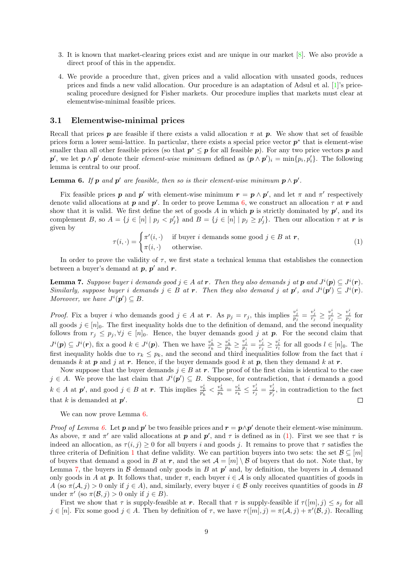- 3. It is known that market-clearing prices exist and are unique in our market [\[8\]](#page-15-1). We also provide a direct proof of this in the appendix.
- 4. We provide a procedure that, given prices and a valid allocation with unsated goods, reduces prices and finds a new valid allocation. Our procedure is an adaptation of Adsul et al. [\[1\]](#page-15-4)'s pricescaling procedure designed for Fisher markets. Our procedure implies that markets must clear at elementwise-minimal feasible prices.

#### <span id="page-8-0"></span>3.1 Elementwise-minimal prices

Recall that prices p are feasible if there exists a valid allocation  $\pi$  at p. We show that set of feasible prices form a lower semi-lattice. In particular, there exists a special price vector  $p^*$  that is element-wise smaller than all other feasible prices (so that  $p^* \leq p$  for all feasible p). For any two price vectors p and p', we let  $p \wedge p'$  denote their *element-wise minimum* defined as  $(p \wedge p')_i = \min\{p_i, p'_i\}$ . The following lemma is central to our proof.

<span id="page-8-1"></span>**Lemma 6.** If  $p$  and  $p'$  are feasible, then so is their element-wise minimum  $p \wedge p'$ .

Fix feasible prices p and p' with element-wise minimum  $r = p \wedge p'$ , and let  $\pi$  and  $\pi'$  respectively denote valid allocations at  $p$  and  $p'$ . In order to prove Lemma [6,](#page-8-1) we construct an allocation  $\tau$  at  $r$  and show that it is valid. We first define the set of goods A in which  $p$  is strictly dominated by  $p'$ , and its complement B, so  $A = \{j \in [n] \mid p_j < p'_j\}$  and  $B = \{j \in [n] \mid p_j \geq p'_j\}$ . Then our allocation  $\tau$  at  $r$  is given by

<span id="page-8-2"></span>
$$
\tau(i, \cdot) = \begin{cases} \pi'(i, \cdot) & \text{if buyer } i \text{ demands some good } j \in B \text{ at } r, \\ \pi(i, \cdot) & \text{otherwise.} \end{cases} \tag{1}
$$

In order to prove the validity of  $\tau$ , we first state a technical lemma that establishes the connection between a buyer's demand at  $p, p'$  and r.

<span id="page-8-3"></span>**Lemma 7.** Suppose buyer i demands good  $j \in A$  at **r**. Then they also demands j at **p** and  $J^i(\mathbf{p}) \subseteq J^i(\mathbf{r})$ . Similarly, suppose buyer i demands  $j \in B$  at r. Then they also demand j at  $p'$ , and  $J^{i}(p') \subseteq J^{i}(r)$ . Moreover, we have  $J^i(p') \subseteq B$ .

*Proof.* Fix a buyer i who demands good  $j \in A$  at r. As  $p_j = r_j$ , this implies  $\frac{v_j^i}{p_j} = \frac{v_j^i}{r_j} \ge \frac{v_j^i}{r_j} \ge \frac{v_j^i}{p_j}$  for all goods  $j \in [n]_0$ . The first inequality holds due to the definition of demand, and the second inequality follows from  $r_j \leq p_j, \forall j \in [n]_0$ . Hence, the buyer demands good j at p. For the second claim that  $J^{i}(\mathbf{p}) \subseteq J^{i}(\mathbf{r})$ , fix a good  $k \in J^{i}(\mathbf{p})$ . Then we have  $\frac{v_{k}^{i}}{r_{k}} \geq \frac{v_{k}^{i}}{p_{k}} \geq \frac{v_{j}^{i}}{p_{j}} = \frac{v_{j}^{i}}{r_{j}} \geq \frac{v_{l}^{i}}{r_{l}}$  for all goods  $l \in [n]_{0}$ . The first inequality holds due to  $r_k \leq p_k$ , and the second and third inequalities follow from the fact that i demands k at p and j at r. Hence, if the buyer demands good k at p, then they demand k at r.

Now suppose that the buyer demands  $j \in B$  at r. The proof of the first claim is identical to the case  $j \in A$ . We prove the last claim that  $J^{i}(p') \subseteq B$ . Suppose, for contradiction, that i demands a good  $k \in A$  at  $p'$ , and good  $j \in B$  at  $r$ . This implies  $\frac{v_k^i}{p'_k} < \frac{v_k^i}{p_k} = \frac{v_k^i}{r_k} \leq \frac{v_j^i}{r_j} = \frac{v_j^i}{p'_j}$ , in contradiction to the fact that k is demanded at  $p'$ .  $\Box$ 

We can now prove Lemma  $6$ .

*Proof of Lemma [6.](#page-8-1)* Let p and p' be two feasible prices and  $\mathbf{r} = \mathbf{p} \wedge \mathbf{p}'$  denote their element-wise minimum. As above,  $\pi$  and  $\pi'$  are valid allocations at p and p', and  $\tau$  is defined as in [\(1\)](#page-8-2). First we see that  $\tau$  is indeed an allocation, as  $\tau(i, j) \geq 0$  for all buyers i and goods j. It remains to prove that  $\tau$  satisfies the three criteria of Definition [1](#page-6-0) that define validity. We can partition buyers into two sets: the set  $\mathcal{B} \subseteq [m]$ of buyers that demand a good in B at r, and the set  $\mathcal{A} = [m] \setminus \mathcal{B}$  of buyers that do not. Note that, by Lemma [7,](#page-8-3) the buyers in  $\beta$  demand only goods in  $B$  at  $p'$  and, by definition, the buyers in  $\mathcal A$  demand only goods in A at p. It follows that, under  $\pi$ , each buyer  $i \in A$  is only allocated quantities of goods in A (so  $\pi(\mathcal{A}, j) > 0$  only if  $j \in A$ ), and, similarly, every buyer  $i \in \mathcal{B}$  only receives quantities of goods in B under  $\pi'$  (so  $\pi(\mathcal{B}, j) > 0$  only if  $j \in B$ ).

First we show that  $\tau$  is supply-feasible at r. Recall that  $\tau$  is supply-feasible if  $\tau([m], j) \leq s_j$  for all  $j \in [n]$ . Fix some good  $j \in A$ . Then by definition of  $\tau$ , we have  $\tau([m], j) = \pi(A, j) + \pi'(B, j)$ . Recalling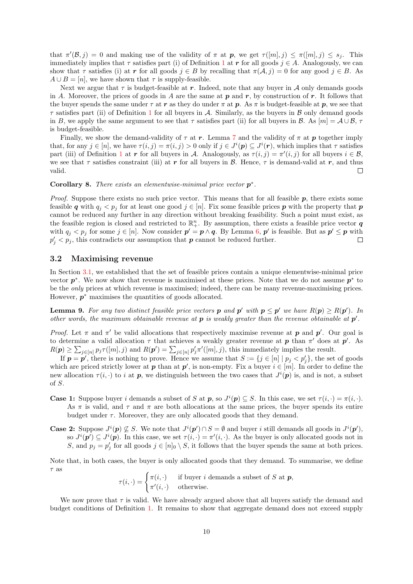that  $\pi'(\mathcal{B},j) = 0$  and making use of the validity of  $\pi$  at  $p$ , we get  $\tau([m],j) \leq \pi([m],j) \leq s_j$ . This immediately implies that  $\tau$  satisfies part (i) of Definition [1](#page-6-0) at r for all goods  $j \in A$ . Analogously, we can show that  $\tau$  satisfies (i) at r for all goods  $j \in B$  by recalling that  $\pi(\mathcal{A}, j) = 0$  for any good  $j \in B$ . As  $A \cup B = [n]$ , we have shown that  $\tau$  is supply-feasible.

Next we argue that  $\tau$  is budget-feasible at r. Indeed, note that any buyer in A only demands goods in A. Moreover, the prices of goods in A are the same at  $p$  and  $r$ , by construction of  $r$ . It follows that the buyer spends the same under  $\tau$  at r as they do under  $\pi$  at p. As  $\pi$  is budget-feasible at p, we see that  $\tau$  satisfies part (ii) of Definition [1](#page-6-0) for all buyers in A. Similarly, as the buyers in B only demand goods in B, we apply the same argument to see that  $\tau$  satisfies part (ii) for all buyers in B. As  $[m] = A \cup B$ ,  $\tau$ is budget-feasible.

Finally, we show the demand-validity of  $\tau$  at r. Lemma [7](#page-8-3) and the validity of  $\pi$  at p together imply that, for any  $j \in [n]$ , we have  $\tau(i, j) = \pi(i, j) > 0$  only if  $j \in J^{i}(p) \subseteq J^{i}(r)$ , which implies that  $\tau$  satisfies part (iii) of Definition [1](#page-6-0) at r for all buyers in A. Analogously, as  $\tau(i, j) = \pi'(i, j)$  for all buyers  $i \in \mathcal{B}$ , we see that  $\tau$  satisfies constraint (iii) at r for all buyers in B. Hence,  $\tau$  is demand-valid at r, and thus valid.  $\Box$ 

Corollary 8. There exists an elementwise-minimal price vector  $p^*$ .

*Proof.* Suppose there exists no such price vector. This means that for all feasible  $p$ , there exists some feasible q with  $q_j < p_j$  for at least one good  $j \in [n]$ . Fix some feasible prices p with the property that p cannot be reduced any further in any direction without breaking feasibility. Such a point must exist, as the feasible region is closed and restricted to  $\mathbb{R}^n_+$ . By assumption, there exists a feasible price vector **q** with  $q_j < p_j$  for some  $j \in [n]$ . Now consider  $p' = p \wedge q$ . By Lemma [6,](#page-8-1) p' is feasible. But as  $p' \leq p$  with  $p'_j < p_j$ , this contradicts our assumption that  $p$  cannot be reduced further.  $\Box$ 

#### 3.2 Maximising revenue

In Section [3.1,](#page-8-0) we established that the set of feasible prices contain a unique elementwise-minimal price vector  $p^*$ . We now show that revenue is maximised at these prices. Note that we do not assume  $p^*$  to be the only prices at which revenue is maximised; indeed, there can be many revenue-maximising prices. However,  $p^*$  maximises the quantities of goods allocated.

<span id="page-9-0"></span>**Lemma 9.** For any two distinct feasible price vectors **p** and **p'** with  $p \le p'$  we have  $R(p) \ge R(p')$ . In other words, the maximum obtainable revenue at  $p$  is weakly greater than the revenue obtainable at  $p'$ .

*Proof.* Let  $\pi$  and  $\pi'$  be valid allocations that respectively maximise revenue at **p** and **p'**. Our goal is to determine a valid allocation  $\tau$  that achieves a weakly greater revenue at  $p$  than  $\pi'$  does at  $p'$ . As  $R(\boldsymbol{p}) \geq \sum_{j \in [n]} p_j \tau([m], j)$  and  $R(\boldsymbol{p}') = \sum_{j \in [n]} p'_j \pi'([m], j)$ , this immediately implies the result.

If  $p = p'$ , there is nothing to prove. Hence we assume that  $S := \{j \in [n] \mid p_j < p'_j\}$ , the set of goods which are priced strictly lower at p than at p', is non-empty. Fix a buyer  $i \in [m]$ . In order to define the new allocation  $\tau(i, \cdot)$  to i at p, we distinguish between the two cases that  $J^{i}(p)$  is, and is not, a subset of S.

**Case 1:** Suppose buyer i demands a subset of S at **p**, so  $J^i(p) \subseteq S$ . In this case, we set  $\tau(i, \cdot) = \pi(i, \cdot)$ . As  $\pi$  is valid, and  $\tau$  and  $\pi$  are both allocations at the same prices, the buyer spends its entire budget under  $\tau$ . Moreover, they are only allocated goods that they demand.

**Case 2:** Suppose  $J^{i}(p) \nsubseteq S$ . We note that  $J^{i}(p') \cap S = \emptyset$  and buyer i still demands all goods in  $J^{i}(p')$ , so  $J^i(p') \subseteq J^i(p)$ . In this case, we set  $\tau(i, \cdot) = \pi'(i, \cdot)$ . As the buyer is only allocated goods not in S, and  $p_j = p'_j$  for all goods  $j \in [n]_0 \setminus S$ , it follows that the buyer spends the same at both prices.

Note that, in both cases, the buyer is only allocated goods that they demand. To summarise, we define  $\tau$  as

$$
\tau(i, \cdot) = \begin{cases} \pi(i, \cdot) & \text{if buyer } i \text{ demands a subset of } S \text{ at } \mathbf{p}, \\ \pi'(i, \cdot) & \text{otherwise.} \end{cases}
$$

We now prove that  $\tau$  is valid. We have already argued above that all buyers satisfy the demand and budget conditions of Definition [1.](#page-6-0) It remains to show that aggregate demand does not exceed supply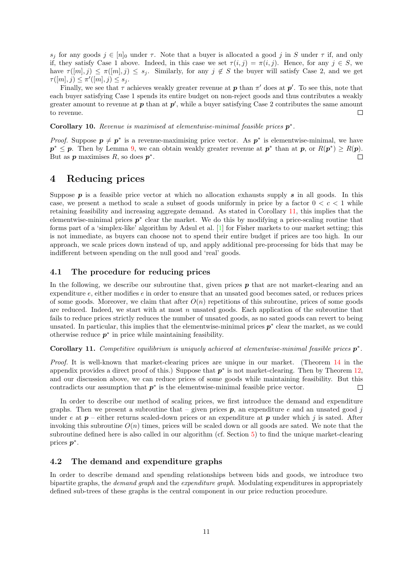s<sub>i</sub> for any goods  $j \in [n]_0$  under  $\tau$ . Note that a buyer is allocated a good j in S under  $\tau$  if, and only if, they satisfy Case 1 above. Indeed, in this case we set  $\tau(i, j) = \pi(i, j)$ . Hence, for any  $j \in S$ , we have  $\tau([m], j) \leq \pi([m], j) \leq s_j$ . Similarly, for any  $j \notin S$  the buyer will satisfy Case 2, and we get  $\tau([m], j) \leq \pi'([m], j) \leq s_j.$ 

Finally, we see that  $\tau$  achieves weakly greater revenue at  $p$  than  $\pi'$  does at  $p'$ . To see this, note that each buyer satisfying Case 1 spends its entire budget on non-reject goods and thus contributes a weakly greater amount to revenue at  $p$  than at  $p'$ , while a buyer satisfying Case 2 contributes the same amount to revenue.  $\Box$ 

Corollary 10. Revenue is maximised at elementwise-minimal feasible prices  $p^*$ .

*Proof.* Suppose  $p \neq p^*$  is a revenue-maximising price vector. As  $p^*$  is elementwise-minimal, we have  $p^* \leq p$ . Then by Lemma [9,](#page-9-0) we can obtain weakly greater revenue at  $p^*$  than at  $p$ , or  $R(p^*) \geq R(p)$ . But as  $p$  maximises  $R$ , so does  $p^*$ .  $\Box$ 

### <span id="page-10-0"></span>4 Reducing prices

Suppose  $p$  is a feasible price vector at which no allocation exhausts supply  $s$  in all goods. In this case, we present a method to scale a subset of goods uniformly in price by a factor  $0 < c < 1$  while retaining feasibility and increasing aggregate demand. As stated in Corollary [11,](#page-10-1) this implies that the elementwise-minimal prices  $p^*$  clear the market. We do this by modifying a price-scaling routine that forms part of a 'simplex-like' algorithm by Adsul et al. [\[1\]](#page-15-4) for Fisher markets to our market setting; this is not immediate, as buyers can choose not to spend their entire budget if prices are too high. In our approach, we scale prices down instead of up, and apply additional pre-processing for bids that may be indifferent between spending on the null good and 'real' goods.

#### 4.1 The procedure for reducing prices

In the following, we describe our subroutine that, given prices  $p$  that are not market-clearing and an expenditure e, either modifies e in order to ensure that an unsated good becomes sated, or reduces prices of some goods. Moreover, we claim that after  $O(n)$  repetitions of this subroutine, prices of some goods are reduced. Indeed, we start with at most n unsated goods. Each application of the subroutine that fails to reduce prices strictly reduces the number of unsated goods, as no sated goods can revert to being unsated. In particular, this implies that the elementwise-minimal prices  $p^*$  clear the market, as we could otherwise reduce  $p^*$  in price while maintaining feasibility.

<span id="page-10-1"></span>Corollary 11. Competitive equilibrium is uniquely achieved at elementwise-minimal feasible prices  $p^*$ .

Proof. It is well-known that market-clearing prices are unique in our market. (Theorem [14](#page-17-0) in the appendix provides a direct proof of this.) Suppose that  $p^*$  is not market-clearing. Then by Theorem [12,](#page-13-0) and our discussion above, we can reduce prices of some goods while maintaining feasibility. But this contradicts our assumption that  $p^*$  is the elementwise-minimal feasible price vector.  $\Box$ 

In order to describe our method of scaling prices, we first introduce the demand and expenditure graphs. Then we present a subroutine that – given prices  $p$ , an expenditure e and an unsated good j under e at  $p$  – either returns scaled-down prices or an expenditure at p under which j is sated. After invoking this subroutine  $O(n)$  times, prices will be scaled down or all goods are sated. We note that the subroutine defined here is also called in our algorithm (cf. Section [5\)](#page-14-0) to find the unique market-clearing prices  $p^*$ .

#### 4.2 The demand and expenditure graphs

In order to describe demand and spending relationships between bids and goods, we introduce two bipartite graphs, the demand graph and the expenditure graph. Modulating expenditures in appropriately defined sub-trees of these graphs is the central component in our price reduction procedure.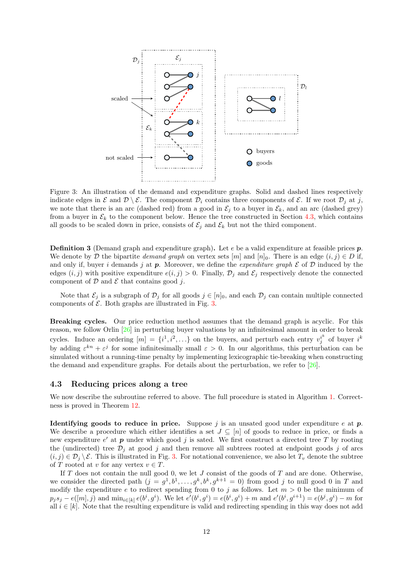<span id="page-11-1"></span>

Figure 3: An illustration of the demand and expenditure graphs. Solid and dashed lines respectively indicate edges in  $\mathcal E$  and  $\mathcal D \setminus \mathcal E$ . The component  $\mathcal D_i$  contains three components of  $\mathcal E$ . If we root  $\mathcal D_j$  at j, we note that there is an arc (dashed red) from a good in  $\mathcal{E}_i$  to a buyer in  $\mathcal{E}_k$ , and an arc (dashed grey) from a buyer in  $\mathcal{E}_k$  to the component below. Hence the tree constructed in Section [4.3,](#page-11-0) which contains all goods to be scaled down in price, consists of  $\mathcal{E}_j$  and  $\mathcal{E}_k$  but not the third component.

**Definition 3** (Demand graph and expenditure graph). Let e be a valid expenditure at feasible prices  $p$ . We denote by D the bipartite demand graph on vertex sets  $[m]$  and  $[n]_0$ . There is an edge  $(i, j) \in D$  if, and only if, buyer i demands j at p. Moreover, we define the expenditure graph  $\mathcal E$  of  $\mathcal D$  induced by the edges  $(i, j)$  with positive expenditure  $e(i, j) > 0$ . Finally,  $\mathcal{D}_j$  and  $\mathcal{E}_j$  respectively denote the connected component of  $D$  and  $E$  that contains good j.

Note that  $\mathcal{E}_i$  is a subgraph of  $\mathcal{D}_i$  for all goods  $j \in [n]_0$ , and each  $\mathcal{D}_i$  can contain multiple connected components of  $\mathcal E$ . Both graphs are illustrated in Fig. [3.](#page-11-1)

Breaking cycles. Our price reduction method assumes that the demand graph is acyclic. For this reason, we follow Orlin [\[26\]](#page-16-3) in perturbing buyer valuations by an infinitesimal amount in order to break cycles. Induce an ordering  $[m] = \{i^1, i^2, ...\}$  on the buyers, and perturb each entry  $v_j^{i^k}$  of buyer  $i^k$ by adding  $\varepsilon^{kn} + \varepsilon^j$  for some infinitesimally small  $\varepsilon > 0$ . In our algorithms, this perturbation can be simulated without a running-time penalty by implementing lexicographic tie-breaking when constructing the demand and expenditure graphs. For details about the perturbation, we refer to [\[26\]](#page-16-3).

#### <span id="page-11-0"></span>4.3 Reducing prices along a tree

We now describe the subroutine referred to above. The full procedure is stated in Algorithm [1.](#page-12-0) Correctness is proved in Theorem [12.](#page-13-0)

**Identifying goods to reduce in price.** Suppose j is an unsated good under expenditure e at  $p$ . We describe a procedure which either identifies a set  $J \subseteq [n]$  of goods to reduce in price, or finds a new expenditure  $e'$  at  $p$  under which good j is sated. We first construct a directed tree T by rooting the (undirected) tree  $\mathcal{D}_j$  at good j and then remove all subtrees rooted at endpoint goods j of arcs  $(i, j) \in \mathcal{D}_i \setminus \mathcal{E}$ . This is illustrated in Fig. [3.](#page-11-1) For notational convenience, we also let  $T_v$  denote the subtree of T rooted at v for any vertex  $v \in T$ .

If  $T$  does not contain the null good 0, we let  $J$  consist of the goods of  $T$  and are done. Otherwise, we consider the directed path  $(j = g<sup>1</sup>, b<sup>1</sup>, \ldots, g<sup>k</sup>, b<sup>k</sup>, g<sup>k+1</sup> = 0)$  from good j to null good 0 in T and modify the expenditure e to redirect spending from 0 to j as follows. Let  $m > 0$  be the minimum of  $p_j s_j - e([m], j)$  and  $\min_{i \in [k]} e(b^i, g^i)$ . We let  $e'(b^i, g^i) = e(b^i, g^i) + m$  and  $e'(b^i, g^{i+1}) = e(b^j, g^i) - m$  for all  $i \in [k]$ . Note that the resulting expenditure is valid and redirecting spending in this way does not add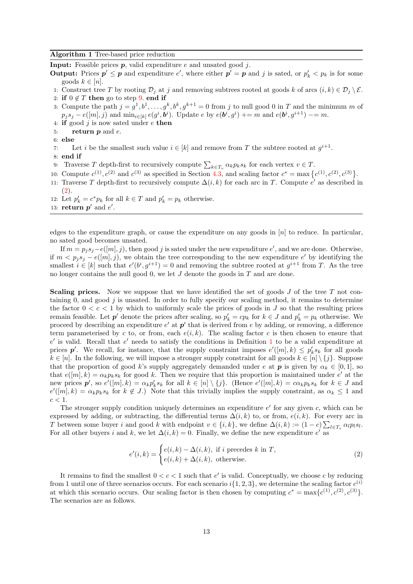<span id="page-12-0"></span>**Input:** Feasible prices  $p$ , valid expenditure  $e$  and unsated good  $j$ .

**Output:** Prices  $p' \leq p$  and expenditure e', where either  $p' = p$  and j is sated, or  $p'_k < p_k$  is for some goods  $k \in [n]$ .

- 1: Construct tree T by rooting  $\mathcal{D}_i$  at j and removing subtrees rooted at goods k of arcs  $(i, k) \in \mathcal{D}_i \setminus \mathcal{E}$ .
- 2: if  $0 \notin T$  then go to step [9.](#page-12-0) end if
- 3: Compute the path  $j = g^1, b^1, \ldots, g^k, b^k, g^{k+1} = 0$  from j to null good 0 in T and the minimum m of  $p_j s_j - e([m], j)$  and  $\min_{i \in [k]} e(g^i, b^i)$ . Update  $e$  by  $e(b^i, g^i)$  += m and  $e(b^i, g^{i+1})$  -= m.
- 4: if good  $j$  is now sated under  $e$  then
- 5: return  $p$  and  $e$ .
- 6: else
- 7: Let *i* be the smallest such value  $i \in [k]$  and remove from T the subtree rooted at  $g^{i+1}$ .
- 8: end if
- 9: Traverse T depth-first to recursively compute  $\sum_{k\in T_v} \alpha_k p_k s_k$  for each vertex  $v \in T$ .
- 10: Compute  $c^{(1)}$ ,  $c^{(2)}$  and  $c^{(3)}$  as specified in Section [4.3,](#page-12-1) and scaling factor  $c^* = \max\left\{c^{(1)}, c^{(2)}, c^{(3)}\right\}$ .
- 11: Traverse T depth-first to recursively compute  $\Delta(i,k)$  for each arc in T. Compute  $e'$  as described in [\(2\)](#page-12-2).
- 12: Let  $p'_k = c^* p_k$  for all  $k \in T$  and  $p'_k = p_k$  otherwise.
- 13: return  $p'$  and  $e'$ .

edges to the expenditure graph, or cause the expenditure on any goods in  $[n]$  to reduce. In particular, no sated good becomes unsated.

If  $m = p_j s_j - e([m], j)$ , then good j is sated under the new expenditure  $e'$ , and we are done. Otherwise, if  $m < p_j s_j - e([m], j)$ , we obtain the tree corresponding to the new expenditure e' by identifying the smallest  $i \in [k]$  such that  $e'(b^i, g^{i+1}) = 0$  and removing the subtree rooted at  $g^{i+1}$  from T. As the tree no longer contains the null good 0, we let  $J$  denote the goods in  $T$  and are done.

<span id="page-12-1"></span>**Scaling prices.** Now we suppose that we have identified the set of goods  $J$  of the tree  $T$  not containing 0, and good  $j$  is unsated. In order to fully specify our scaling method, it remains to determine the factor  $0 < c < 1$  by which to uniformly scale the prices of goods in J so that the resulting prices remain feasible. Let  $p'$  denote the prices after scaling, so  $p'_k = cp_k$  for  $k \in J$  and  $p'_k = p_k$  otherwise. We proceed by describing an expenditure  $e'$  at  $p'$  that is derived from e by adding, or removing, a difference term parameterised by c to, or from, each  $e(i, k)$ . The scaling factor c is then chosen to ensure that  $e'$  is valid. Recall that  $e'$  needs to satisfy the conditions in Definition [1](#page-6-0) to be a valid expenditure at prices  $p'$ . We recall, for instance, that the supply constraint imposes  $e'([m], k) \leq p'_{k} s_{k}$  for all goods  $k \in [n]$ . In the following, we will impose a stronger supply constraint for all goods  $k \in [n] \setminus \{j\}$ . Suppose that the proportion of good k's supply aggregately demanded under e at **p** is given by  $\alpha_k \in [0, 1]$ , so that  $e([m], k) = \alpha_k p_k s_k$  for good k. Then we require that this proportion is maintained under  $e'$  at the new prices  $p'$ , so  $e'([m], k) = \alpha_k p'_k s_k$  for all  $k \in [n] \setminus \{j\}$ . (Hence  $e'([m], k) = \alpha_k p_k s_k$  for  $k \in J$  and  $e'([m], k) = \alpha_k p_k s_k$  for  $k \notin J$ .) Note that this trivially implies the supply constraint, as  $\alpha_k \leq 1$  and  $c < 1$ .

The stronger supply condition uniquely determines an expenditure  $e'$  for any given  $c$ , which can be expressed by adding, or subtracting, the differential terms  $\Delta(i,k)$  to, or from,  $e(i,k)$ . For every arc in T between some buyer i and good k with endpoint  $v \in \{i, k\}$ , we define  $\Delta(i, k) := (1 - c) \sum_{l \in T_v} \alpha_l p_l s_l$ . For all other buyers i and k, we let  $\Delta(i,k) = 0$ . Finally, we define the new expenditure e' as

<span id="page-12-2"></span>
$$
e'(i,k) = \begin{cases} e(i,k) - \Delta(i,k), & \text{if } i \text{ precedes } k \text{ in } T, \\ e(i,k) + \Delta(i,k), & \text{otherwise.} \end{cases}
$$
(2)

It remains to find the smallest  $0 < c < 1$  such that e' is valid. Conceptually, we choose c by reducing from 1 until one of three scenarios occurs. For each scenario  $i\{1, 2, 3\}$ , we determine the scaling factor  $c^{(i)}$ at which this scenario occurs. Our scaling factor is then chosen by computing  $c^* = \max\{c^{(1)}, c^{(2)}, c^{(3)}\}.$ The scenarios are as follows.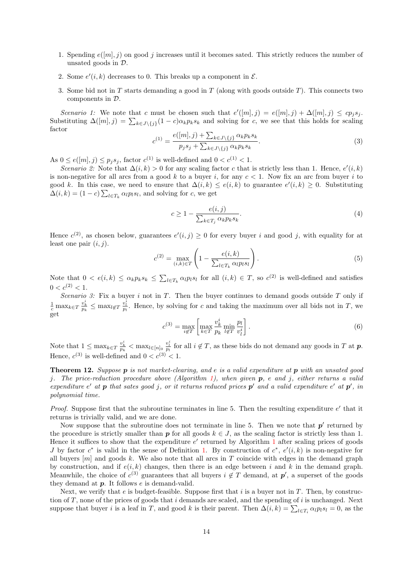- 1. Spending  $e([m], j)$  on good j increases until it becomes sated. This strictly reduces the number of unsated goods in D.
- 2. Some  $e'(i, k)$  decreases to 0. This breaks up a component in  $\mathcal{E}$ .
- 3. Some bid not in  $T$  starts demanding a good in  $T$  (along with goods outside  $T$ ). This connects two components in D.

Scenario 1: We note that c must be chosen such that  $e'([m], j) = e([m], j) + \Delta([m], j) \le c p_j s_j$ . Substituting  $\Delta([m], j) = \sum_{k \in J \setminus \{j\}} (1 - c) \alpha_k p_k s_k$  and solving for c, we see that this holds for scaling factor

<span id="page-13-1"></span>
$$
c^{(1)} = \frac{e([m], j) + \sum_{k \in J \setminus \{j\}} \alpha_k p_k s_k}{p_j s_j + \sum_{k \in J \setminus \{j\}} \alpha_k p_k s_k}.
$$
\n(3)

As  $0 \le e([m], j) \le p_j s_j$ , factor  $c^{(1)}$  is well-defined and  $0 < c^{(1)} < 1$ .

Scenario 2: Note that  $\Delta(i,k) > 0$  for any scaling factor c that is strictly less than 1. Hence,  $e'(i,k)$ is non-negative for all arcs from a good k to a buyer i, for any  $c < 1$ . Now fix an arc from buyer i to good k. In this case, we need to ensure that  $\Delta(i,k) \leq e(i,k)$  to guarantee  $e'(i,k) \geq 0$ . Substituting  $\Delta(i,k) = (1-c) \sum_{l \in T_k} \alpha_l p_l s_l$ , and solving for c, we get

$$
c \ge 1 - \frac{e(i,j)}{\sum_{k \in T_j} \alpha_k p_k s_k}.\tag{4}
$$

Hence  $c^{(2)}$ , as chosen below, guarantees  $e'(i, j) \geq 0$  for every buyer i and good j, with equality for at least one pair  $(i, j)$ .

$$
c^{(2)} = \max_{(i,k)\in T} \left(1 - \frac{e(i,k)}{\sum_{l\in T_k} \alpha_l p_l s_l}\right). \tag{5}
$$

Note that  $0 < e(i,k) \leq \alpha_k p_k s_k \leq \sum_{l \in T_k} \alpha_l p_l s_l$  for all  $(i,k) \in T$ , so  $c^{(2)}$  is well-defined and satisfies  $0 < c^{(2)} < 1$ .

Scenario 3: Fix a buyer i not in T. Then the buyer continues to demand goods outside T only if  $\frac{1}{c} \max_{k \in T} \frac{v_k^i}{p_k} \leq \max_{l \notin T} \frac{v_l^i}{p_l}$ . Hence, by solving for c and taking the maximum over all bids not in T, we get

$$
c^{(3)} = \max_{i \notin T} \left[ \max_{k \in T} \frac{v_k^i}{p_k} \min_{l \notin T} \frac{p_l}{v_l^i} \right].
$$
 (6)

Note that  $1 \leq \max_{k \in T} \frac{v_k^i}{p_k} < \max_{l \in [n]_0} \frac{v_l^i}{p_l}$  for all  $i \notin T$ , as these bids do not demand any goods in T at p. Hence,  $c^{(3)}$  is well-defined and  $0 < c^{(3)} < 1$ .

<span id="page-13-0"></span>**Theorem 12.** Suppose  $p$  is not market-clearing, and e is a valid expenditure at  $p$  with an unsated good j. The price-reduction procedure above (Algorithm [1\)](#page-12-0), when given  $p$ , e and j, either returns a valid expenditure e' at p that sates good j, or it returns reduced prices p' and a valid expenditure e' at p', in polynomial time.

*Proof.* Suppose first that the subroutine terminates in line 5. Then the resulting expenditure  $e'$  that it returns is trivially valid, and we are done.

Now suppose that the subroutine does not terminate in line 5. Then we note that  $p'$  returned by the procedure is strictly smaller than **p** for all goods  $k \in J$ , as the scaling factor is strictly less than 1. Hence it suffices to show that the expenditure  $e'$  returned by Algorithm [1](#page-12-0) after scaling prices of goods J by factor  $c^*$  is valid in the sense of Definition [1.](#page-6-0) By construction of  $c^*$ ,  $e'(i,k)$  is non-negative for all buyers  $[m]$  and goods k. We also note that all arcs in T coincide with edges in the demand graph by construction, and if  $e(i, k)$  changes, then there is an edge between i and k in the demand graph. Meanwhile, the choice of  $c^{(3)}$  guarantees that all buyers  $i \notin T$  demand, at  $p'$ , a superset of the goods they demand at  $p$ . It follows  $e$  is demand-valid.

Next, we verify that e is budget-feasible. Suppose first that  $i$  is a buyer not in  $T$ . Then, by construction of T, none of the prices of goods that i demands are scaled, and the spending of i is unchanged. Next suppose that buyer *i* is a leaf in T, and good k is their parent. Then  $\Delta(i,k) = \sum_{l \in T_i} \alpha_l p_l s_l = 0$ , as the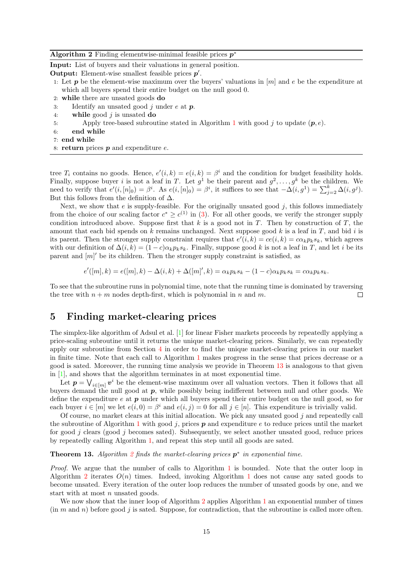<span id="page-14-2"></span>

| <b>Algorithm 2</b> Finding elementwise-minimal feasible prices $p^*$ |  |  |  |  |  |  |  |  |  |  |
|----------------------------------------------------------------------|--|--|--|--|--|--|--|--|--|--|
|----------------------------------------------------------------------|--|--|--|--|--|--|--|--|--|--|

Input: List of buyers and their valuations in general position.

Output: Element-wise smallest feasible prices  $p'$ .

- 1: Let **p** be the element-wise maximum over the buyers' valuations in  $[m]$  and e be the expenditure at which all buyers spend their entire budget on the null good 0.
- 2: while there are unsated goods do
- 3: Identify an unsated good j under  $e$  at  $p$ .
- 4: while good  $i$  is unsated do
- 5: Apply tree-based subroutine stated in Algorithm [1](#page-12-0) with good j to update  $(p, e)$ .
- 6: end while
- 7: end while
- 8: return prices  $p$  and expenditure  $e$ .

tree  $T_i$  contains no goods. Hence,  $e'(i,k) = e(i,k) = \beta^i$  and the condition for budget feasibility holds. Finally, suppose buyer i is not a leaf in T. Let  $g^1$  be their parent and  $g^2, \ldots, g^k$  be the children. We need to verify that  $e'(i,[n]_0) = \beta^i$ . As  $e(i,[n]_0) = \beta^i$ , it suffices to see that  $-\Delta(i,g^1) = \sum_{j=2}^k \Delta(i,g^j)$ . But this follows from the definition of  $\Delta$ .

Next, we show that  $e$  is supply-feasible. For the originally unsated good  $j$ , this follows immediately from the choice of our scaling factor  $c^* \geq c^{(1)}$  in [\(3\)](#page-13-1). For all other goods, we verify the stronger supply condition introduced above. Suppose first that  $k$  is a good not in  $T$ . Then by construction of  $T$ , the amount that each bid spends on k remains unchanged. Next suppose good k is a leaf in  $T$ , and bid i is its parent. Then the stronger supply constraint requires that  $e'(i,k) = ce(i,k) = c\alpha_k p_ks_k$ , which agrees with our definition of  $\Delta(i,k) = (1-c)\alpha_k p_k s_k$ . Finally, suppose good k is not a leaf in T, and let i be its parent and  $[m]$  be its children. Then the stronger supply constraint is satisfied, as

$$
e'([m],k) = e([m],k) - \Delta(i,k) + \Delta([m]',k) = \alpha_k p_k s_k - (1-c)\alpha_k p_k s_k = c\alpha_k p_k s_k.
$$

To see that the subroutine runs in polynomial time, note that the running time is dominated by traversing the tree with  $n + m$  nodes depth-first, which is polynomial in n and m.  $\Box$ 

# <span id="page-14-0"></span>5 Finding market-clearing prices

The simplex-like algorithm of Adsul et al. [\[1\]](#page-15-4) for linear Fisher markets proceeds by repeatedly applying a price-scaling subroutine until it returns the unique market-clearing prices. Similarly, we can repeatedly apply our subroutine from Section [4](#page-10-0) in order to find the unique market-clearing prices in our market in finite time. Note that each call to Algorithm [1](#page-12-0) makes progress in the sense that prices decrease or a good is sated. Moreover, the running time analysis we provide in Theorem [13](#page-14-1) is analogous to that given in [\[1\]](#page-15-4), and shows that the algorithm terminates in at most exponential time.

Let  $p = \bigvee_{i \in [m]} v^i$  be the element-wise maximum over all valuation vectors. Then it follows that all buyers demand the null good at p, while possibly being indifferent between null and other goods. We define the expenditure  $e$  at  $p$  under which all buyers spend their entire budget on the null good, so for each buyer  $i \in [m]$  we let  $e(i, 0) = \beta^i$  and  $e(i, j) = 0$  for all  $j \in [n]$ . This expenditure is trivially valid.

Of course, no market clears at this initial allocation. We pick any unsated good  $j$  and repeatedly call the subroutine of Algorithm [1](#page-12-0) with good  $j$ , prices  $p$  and expenditure  $e$  to reduce prices until the market for good *j* clears (good *j* becomes sated). Subsequently, we select another unsated good, reduce prices by repeatedly calling Algorithm [1,](#page-12-0) and repeat this step until all goods are sated.

#### <span id="page-14-1"></span>**Theorem 13.** Algorithm [2](#page-14-2) finds the market-clearing prices  $p^*$  in exponential time.

Proof. We argue that the number of calls to Algorithm [1](#page-12-0) is bounded. Note that the outer loop in Algorithm [2](#page-14-2) iterates  $O(n)$  times. Indeed, invoking Algorithm [1](#page-12-0) does not cause any sated goods to become unsated. Every iteration of the outer loop reduces the number of unsated goods by one, and we start with at most  $n$  unsated goods.

We now show that the inner loop of Algorithm [2](#page-14-2) applies Algorithm [1](#page-12-0) an exponential number of times  $(\text{in } m \text{ and } n)$  before good j is sated. Suppose, for contradiction, that the subroutine is called more often.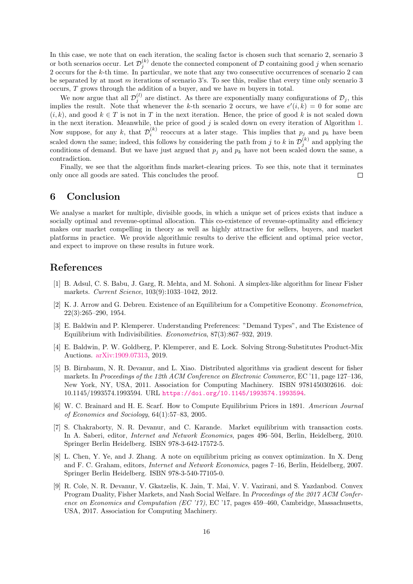In this case, we note that on each iteration, the scaling factor is chosen such that scenario 2, scenario 3 or both scenarios occur. Let  $\mathcal{D}_j^{(k)}$  denote the connected component of  $\mathcal D$  containing good j when scenario 2 occurs for the k-th time. In particular, we note that any two consecutive occurrences of scenario 2 can be separated by at most m iterations of scenario 3's. To see this, realise that every time only scenario 3 occurs,  $T$  grows through the addition of a buyer, and we have  $m$  buyers in total.

We now argue that all  $\mathcal{D}_j^{(l)}$  are distinct. As there are exponentially many configurations of  $\mathcal{D}_j$ , this implies the result. Note that whenever the k-th scenario 2 occurs, we have  $e'(i,k) = 0$  for some arc  $(i, k)$ , and good  $k \in T$  is not in T in the next iteration. Hence, the price of good k is not scaled down in the next iteration. Meanwhile, the price of good  $j$  is scaled down on every iteration of Algorithm [1.](#page-12-0) Now suppose, for any k, that  $\mathcal{D}_i^{(k)}$  reoccurs at a later stage. This implies that  $p_j$  and  $p_k$  have been scaled down the same; indeed, this follows by considering the path from j to k in  $\mathcal{D}_j^{(k)}$  and applying the conditions of demand. But we have just argued that  $p_j$  and  $p_k$  have not been scaled down the same, a contradiction.

Finally, we see that the algorithm finds market-clearing prices. To see this, note that it terminates only once all goods are sated. This concludes the proof.  $\Box$ 

# <span id="page-15-5"></span>6 Conclusion

We analyse a market for multiple, divisible goods, in which a unique set of prices exists that induce a socially optimal and revenue-optimal allocation. This co-existence of revenue-optimality and efficiency makes our market compelling in theory as well as highly attractive for sellers, buyers, and market platforms in practice. We provide algorithmic results to derive the efficient and optimal price vector, and expect to improve on these results in future work.

### References

- <span id="page-15-4"></span>[1] B. Adsul, C. S. Babu, J. Garg, R. Mehta, and M. Sohoni. A simplex-like algorithm for linear Fisher markets. Current Science, 103(9):1033–1042, 2012.
- <span id="page-15-0"></span>[2] K. J. Arrow and G. Debreu. Existence of an Equilibrium for a Competitive Economy. Econometrica, 22(3):265–290, 1954.
- <span id="page-15-2"></span>[3] E. Baldwin and P. Klemperer. Understanding Preferences: "Demand Types", and The Existence of Equilibrium with Indivisibilities. Econometrica, 87(3):867–932, 2019.
- <span id="page-15-9"></span>[4] E. Baldwin, P. W. Goldberg, P. Klemperer, and E. Lock. Solving Strong-Substitutes Product-Mix Auctions. [arXiv:1909.07313,](https://arxiv.org/abs/1909.07313) 2019.
- <span id="page-15-7"></span>[5] B. Birnbaum, N. R. Devanur, and L. Xiao. Distributed algorithms via gradient descent for fisher markets. In Proceedings of the 12th ACM Conference on Electronic Commerce, EC '11, page 127–136, New York, NY, USA, 2011. Association for Computing Machinery. ISBN 9781450302616. doi: 10.1145/1993574.1993594. URL <https://doi.org/10.1145/1993574.1993594>.
- <span id="page-15-6"></span>[6] W. C. Brainard and H. E. Scarf. How to Compute Equilibrium Prices in 1891. American Journal of Economics and Sociology, 64(1):57–83, 2005.
- <span id="page-15-8"></span>[7] S. Chakraborty, N. R. Devanur, and C. Karande. Market equilibrium with transaction costs. In A. Saberi, editor, Internet and Network Economics, pages 496–504, Berlin, Heidelberg, 2010. Springer Berlin Heidelberg. ISBN 978-3-642-17572-5.
- <span id="page-15-1"></span>[8] L. Chen, Y. Ye, and J. Zhang. A note on equilibrium pricing as convex optimization. In X. Deng and F. C. Graham, editors, Internet and Network Economics, pages 7–16, Berlin, Heidelberg, 2007. Springer Berlin Heidelberg. ISBN 978-3-540-77105-0.
- <span id="page-15-3"></span>[9] R. Cole, N. R. Devanur, V. Gkatzelis, K. Jain, T. Mai, V. V. Vazirani, and S. Yazdanbod. Convex Program Duality, Fisher Markets, and Nash Social Welfare. In Proceedings of the 2017 ACM Conference on Economics and Computation (EC '17), EC '17, pages 459–460, Cambridge, Massachusetts, USA, 2017. Association for Computing Machinery.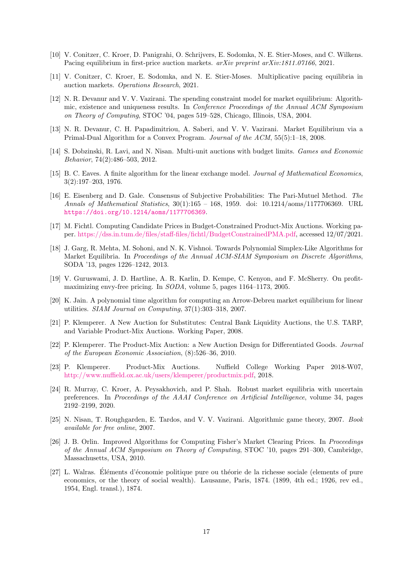- <span id="page-16-4"></span>[10] V. Conitzer, C. Kroer, D. Panigrahi, O. Schrijvers, E. Sodomka, N. E. Stier-Moses, and C. Wilkens. Pacing equilibrium in first-price auction markets. arXiv preprint arXiv:1811.07166, 2021.
- <span id="page-16-5"></span>[11] V. Conitzer, C. Kroer, E. Sodomka, and N. E. Stier-Moses. Multiplicative pacing equilibria in auction markets. Operations Research, 2021.
- <span id="page-16-14"></span>[12] N. R. Devanur and V. V. Vazirani. The spending constraint model for market equilibrium: Algorithmic, existence and uniqueness results. In Conference Proceedings of the Annual ACM Symposium on Theory of Computing, STOC '04, pages 519–528, Chicago, Illinois, USA, 2004.
- <span id="page-16-0"></span>[13] N. R. Devanur, C. H. Papadimitriou, A. Saberi, and V. V. Vazirani. Market Equilibrium via a Primal-Dual Algorithm for a Convex Program. Journal of the ACM, 55(5):1–18, 2008.
- <span id="page-16-6"></span>[14] S. Dobzinski, R. Lavi, and N. Nisan. Multi-unit auctions with budget limits. Games and Economic Behavior, 74(2):486–503, 2012.
- <span id="page-16-1"></span>[15] B. C. Eaves. A finite algorithm for the linear exchange model. Journal of Mathematical Economics, 3(2):197–203, 1976.
- <span id="page-16-13"></span>[16] E. Eisenberg and D. Gale. Consensus of Subjective Probabilities: The Pari-Mutuel Method. The Annals of Mathematical Statistics, 30(1):165 – 168, 1959. doi: 10.1214/aoms/1177706369. URL <https://doi.org/10.1214/aoms/1177706369>.
- <span id="page-16-17"></span>[17] M. Fichtl. Computing Candidate Prices in Budget-Constrained Product-Mix Auctions. Working paper. [https://dss.in.tum.de/files/staff-files/fichtl/BudgetConstrainedPMA.pdf,](https://dss.in.tum.de/files/staff-files/fichtl/BudgetConstrainedPMA.pdf) accessed 12/07/2021.
- <span id="page-16-15"></span>[18] J. Garg, R. Mehta, M. Sohoni, and N. K. Vishnoi. Towards Polynomial Simplex-Like Algorithms for Market Equilibria. In Proceedings of the Annual ACM-SIAM Symposium on Discrete Algorithms, SODA '13, pages 1226–1242, 2013.
- <span id="page-16-9"></span>[19] V. Guruswami, J. D. Hartline, A. R. Karlin, D. Kempe, C. Kenyon, and F. McSherry. On profitmaximizing envy-free pricing. In SODA, volume 5, pages 1164–1173, 2005.
- <span id="page-16-12"></span>[20] K. Jain. A polynomial time algorithm for computing an Arrow-Debreu market equilibrium for linear utilities. SIAM Journal on Computing, 37(1):303–318, 2007.
- <span id="page-16-10"></span>[21] P. Klemperer. A New Auction for Substitutes: Central Bank Liquidity Auctions, the U.S. TARP, and Variable Product-Mix Auctions. Working Paper, 2008.
- <span id="page-16-16"></span>[22] P. Klemperer. The Product-Mix Auction: a New Auction Design for Differentiated Goods. Journal of the European Economic Association, (8):526–36, 2010.
- <span id="page-16-8"></span>[23] P. Klemperer. Product-Mix Auctions. Nuffield College Working Paper 2018-W07, [http://www.nuffield.ox.ac.uk/users/klemperer/productmix.pdf,](http://www.nuffield.ox.ac.uk/users/klemperer/productmix.pdf) 2018.
- <span id="page-16-7"></span>[24] R. Murray, C. Kroer, A. Peysakhovich, and P. Shah. Robust market equilibria with uncertain preferences. In Proceedings of the AAAI Conference on Artificial Intelligence, volume 34, pages 2192–2199, 2020.
- <span id="page-16-2"></span>[25] N. Nisan, T. Roughgarden, E. Tardos, and V. V. Vazirani. Algorithmic game theory, 2007. Book available for free online, 2007.
- <span id="page-16-3"></span>[26] J. B. Orlin. Improved Algorithms for Computing Fisher's Market Clearing Prices. In Proceedings of the Annual ACM Symposium on Theory of Computing, STOC '10, pages 291–300, Cambridge, Massachusetts, USA, 2010.
- <span id="page-16-11"></span>[27] L. Walras. Eléments d'économie politique pure ou théorie de la richesse sociale (elements of pure economics, or the theory of social wealth). Lausanne, Paris, 1874. (1899, 4th ed.; 1926, rev ed., 1954, Engl. transl.), 1874.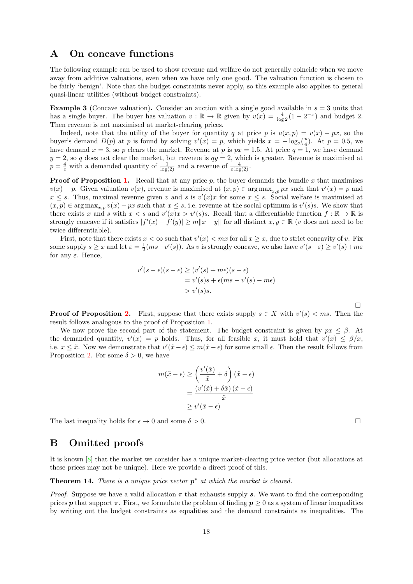# A On concave functions

The following example can be used to show revenue and welfare do not generally coincide when we move away from additive valuations, even when we have only one good. The valuation function is chosen to be fairly 'benign'. Note that the budget constraints never apply, so this example also applies to general quasi-linear utilities (without budget constraints).

**Example 3** (Concave valuation). Consider an auction with a single good available in  $s = 3$  units that has a single buyer. The buyer has valuation  $v : \mathbb{R} \to \mathbb{R}$  given by  $v(x) = \frac{4}{\log 2}(1 - 2^{-x})$  and budget 2. Then revenue is not maximised at market-clearing prices.

Indeed, note that the utility of the buyer for quantity q at price p is  $u(x, p) = v(x) - px$ , so the buyer's demand  $D(p)$  at p is found by solving  $v'(x) = p$ , which yields  $x = -\log_2(\frac{p}{4})$ . At  $p = 0.5$ , we have demand  $x = 3$ , so p clears the market. Revenue at p is  $px = 1.5$ . At price  $q = 1$ , we have demand  $y = 2$ , so q does not clear the market, but revenue is  $qy = 2$ , which is greater. Revenue is maximised at  $p = \frac{4}{e}$  with a demanded quantity of  $\frac{1}{\log(2)}$  and a revenue of  $\frac{4}{e \log(2)}$ .

**Proof of Proposition [1.](#page-3-2)** Recall that at any price p, the buyer demands the bundle x that maximises  $v(x) - p$ . Given valuation  $v(x)$ , revenue is maximised at  $(x, p) \in \arg \max_{x, p} px$  such that  $v'(x) = p$  and  $x \leq s$ . Thus, maximal revenue given v and s is  $v'(x)x$  for some  $x \leq s$ . Social welfare is maximised at  $(x, p) \in \arg \max_{x, p} v(x) - px$  such that  $x \leq s$ , i.e. revenue at the social optimum is  $v'(s)s$ . We show that there exists x and s with  $x < s$  and  $v'(x)x > v'(s)s$ . Recall that a differentiable function  $f : \mathbb{R} \to \mathbb{R}$  is strongly concave if it satisfies  $|f'(x) - f'(y)| \ge m||x - y||$  for all distinct  $x, y \in \mathbb{R}$  (v does not need to be twice differentiable).

First, note that there exists  $\bar{x} < \infty$  such that  $v'(x) < mx$  for all  $x \geq \bar{x}$ , due to strict concavity of v. Fix some supply  $s \geq \overline{x}$  and let  $\varepsilon = \frac{1}{2}(ms - v'(s))$ . As v is strongly concave, we also have  $v'(s - \varepsilon) \geq v'(s) + m\varepsilon$ for any  $\varepsilon$ . Hence,

$$
v'(s - \epsilon)(s - \epsilon) \ge (v'(s) + m\epsilon)(s - \epsilon)
$$
  
=  $v'(s)s + \epsilon(ms - v'(s) - m\epsilon)$   
>  $v'(s)s$ .

**Proof of Proposition [2.](#page-3-3)** First, suppose that there exists supply  $s \in X$  with  $v'(s) < ms$ . Then the result follows analogous to the proof of Proposition [1.](#page-3-2)

We now prove the second part of the statement. The budget constraint is given by  $px \leq \beta$ . At the demanded quantity,  $v'(x) = p$  holds. Thus, for all feasible x, it must hold that  $v'(x) \le \beta/x$ , i.e.  $x \leq \tilde{x}$ . Now we demonstrate that  $v'(\tilde{x} - \epsilon) \leq m(\tilde{x} - \epsilon)$  for some small  $\epsilon$ . Then the result follows from Proposition [2.](#page-3-3) For some  $\delta > 0$ , we have

$$
m(\tilde{x} - \epsilon) \ge \left(\frac{v'(\tilde{x})}{\tilde{x}} + \delta\right)(\tilde{x} - \epsilon)
$$

$$
= \frac{(v'(\tilde{x}) + \delta\tilde{x})(\tilde{x} - \epsilon)}{\tilde{x}}
$$

$$
\ge v'(\tilde{x} - \epsilon)
$$

The last inequality holds for  $\epsilon \to 0$  and some  $\delta > 0$ .

# B Omitted proofs

It is known [\[8\]](#page-15-1) that the market we consider has a unique market-clearing price vector (but allocations at these prices may not be unique). Here we provide a direct proof of this.

<span id="page-17-0"></span>**Theorem 14.** There is a unique price vector  $p^*$  at which the market is cleared.

*Proof.* Suppose we have a valid allocation  $\pi$  that exhausts supply s. We want to find the corresponding prices **p** that support  $\pi$ . First, we formulate the problem of finding  $p \geq 0$  as a system of linear inequalities by writing out the budget constraints as equalities and the demand constraints as inequalities. The

 $\Box$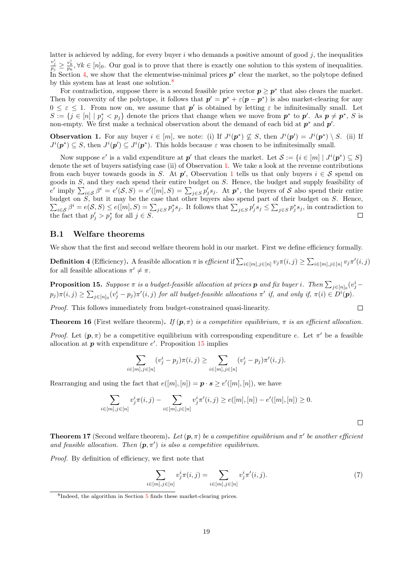latter is achieved by adding, for every buyer i who demands a positive amount of good  $j$ , the inequalities  $\frac{v_j^i}{p_j} \geq \frac{v_k^i}{p_k}$ ,  $\forall k \in [n]_0$ . Our goal is to prove that there is exactly one solution to this system of inequalities. In Section [4,](#page-10-0) we show that the elementwise-minimal prices  $p^*$  clear the market, so the polytope defined by this system has at least one solution.<sup>[8](#page-18-0)</sup>

For contradiction, suppose there is a second feasible price vector  $p \geq p^*$  that also clears the market. Then by convexity of the polytope, it follows that  $p' = p^* + \varepsilon(p - p^*)$  is also market-clearing for any  $0 \leq \varepsilon \leq 1$ . From now on, we assume that  $p'$  is obtained by letting  $\varepsilon$  be infinitesimally small. Let  $S := \{j \in [n] \mid p_j^* < p_j\}$  denote the prices that change when we move from  $p^*$  to  $p'$ . As  $p \neq p^*$ , S is non-empty. We first make a technical observation about the demand of each bid at  $p^*$  and  $p'$ .

<span id="page-18-1"></span>**Observation 1.** For any buyer  $i \in [m]$ , we note: (i) If  $J^{i}(p^{*}) \nsubseteq S$ , then  $J^{i}(p') = J^{i}(p^{*}) \setminus S$ . (ii) If  $J^{i}(\boldsymbol{p}^*) \subseteq S$ , then  $J^{i}(\boldsymbol{p}') \subseteq J^{i}(\boldsymbol{p}^*)$ . This holds because  $\varepsilon$  was chosen to be infinitesimally small.

Now suppose e' is a valid expenditure at  $p'$  that clears the market. Let  $\mathcal{S} := \{i \in [m] \mid J^{i}(p^*) \subseteq S\}$ denote the set of buyers satisfying case (ii) of Observation [1.](#page-18-1) We take a look at the revenue contributions from each buyer towards goods in S. At  $p'$ , Observation [1](#page-18-1) tells us that only buyers  $i \in S$  spend on goods in S, and they each spend their entire budget on S. Hence, the budget and supply feasibility of  $e'$  imply  $\sum_{i\in\mathcal{S}}\beta^i=e'(\mathcal{S},S)=e'([m],S)=\sum_{j\in\mathcal{S}}p'_js_j$ . At  $p^*$ , the buyers of S also spend their entire budget on  $\sum$ S, but it may be the case that other buyers also spend part of their budget on S. Hence,  $i\in\mathcal{S}$ ,  $\beta^i = e(\mathcal{S}, \mathcal{S}) \leq e([m], \mathcal{S}) = \sum_{j \in \mathcal{S}} p_j^* s_j$ . It follows that  $\sum_{j \in \mathcal{S}} p_j^* s_j \leq \sum_{j \in \mathcal{S}} p_j^* s_j$ , in contradiction to the fact that  $p'_j > p^*_j$  for all  $j \in S$ .

#### B.1 Welfare theorems

We show that the first and second welfare theorem hold in our market. First we define efficiency formally.

**Definition 4** (Efficiency). A feasible allocation  $\pi$  is efficient if  $\sum_{i \in [m], j \in [n]} v_j \pi(i, j) \geq \sum_{i \in [m], j \in [n]} v_j \pi'(i, j)$ for all feasible allocations  $\pi' \neq \pi$ .

<span id="page-18-2"></span>**Proposition 15.** Suppose  $\pi$  is a budget-feasible allocation at prices  $p$  and fix buyer i. Then  $\sum_{j\in[n]_0}(v_j^i$  $p_j)\pi(i,j) \geq \sum_{j\in [n]_0} (v_j^i - p_j)\pi'(i,j)$  for all budget-feasible allocations  $\pi'$  if, and only if,  $\pi(i) \in D^i(\mathbf{p})$ .

Proof. This follows immediately from budget-constrained quasi-linearity.

**Theorem 16** (First welfare theorem). If  $(p, \pi)$  is a competitive equilibrium,  $\pi$  is an efficient allocation.

Proof. Let  $(p, \pi)$  be a competitive equilibrium with corresponding expenditure e. Let  $\pi'$  be a feasible allocation at  $p$  with expenditure  $e'$ . Proposition [15](#page-18-2) implies

$$
\sum_{i \in [m], j \in [n]} (v_j^i - p_j) \pi(i, j) \ge \sum_{i \in [m], j \in [n]} (v_j^i - p_j) \pi'(i, j).
$$

Rearranging and using the fact that  $e([m], [n]) = \mathbf{p} \cdot \mathbf{s} \geq e'([m], [n])$ , we have

$$
\sum_{i \in [m], j \in [n]} v_j^i \pi(i, j) - \sum_{i \in [m], j \in [n]} v_j^i \pi'(i, j) \ge e([m], [n]) - e'([m], [n]) \ge 0.
$$

 $\Box$ 

 $\Box$ 

**Theorem 17** (Second welfare theorem). Let  $(p, \pi)$  be a competitive equilibrium and  $\pi'$  be another efficient and feasible allocation. Then  $(p, \pi')$  is also a competitive equilibrium.

Proof. By definition of efficiency, we first note that

<span id="page-18-3"></span>
$$
\sum_{i \in [m], j \in [n]} v_j^i \pi(i, j) = \sum_{i \in [m], j \in [n]} v_j^i \pi'(i, j).
$$
\n(7)

<span id="page-18-0"></span><sup>&</sup>lt;sup>8</sup>Indeed, the algorithm in Section [5](#page-14-0) finds these market-clearing prices.